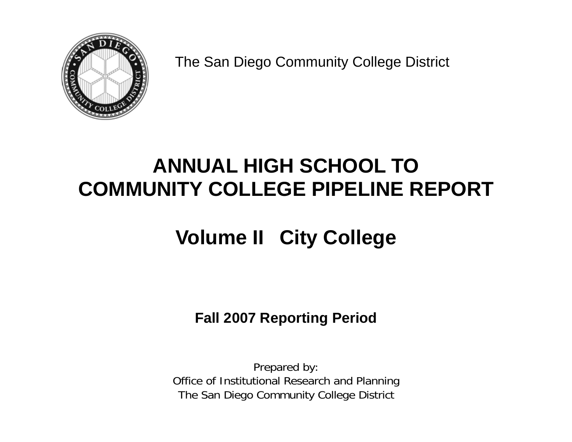

The San Diego Community College District

# **ANNUAL HIGH SCHOOL TO COMMUNITY COLLEGE PIPELINE REPORT**

# **Volume II City College**

**Fall 2007 Reporting Period** 

Prepared by: Office of Institutional Research and Planning The San Diego Community College District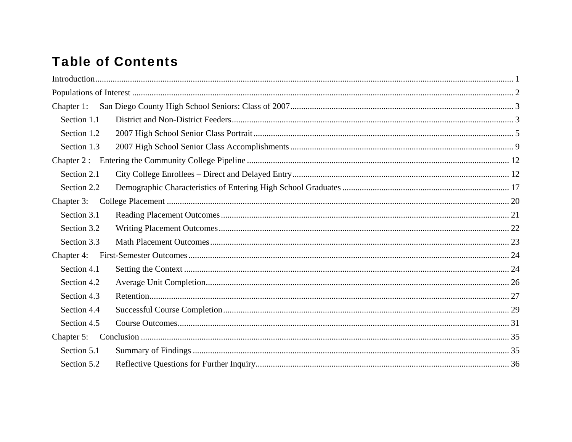# **Table of Contents**

| Chapter 1:  |  |
|-------------|--|
| Section 1.1 |  |
| Section 1.2 |  |
| Section 1.3 |  |
|             |  |
| Section 2.1 |  |
| Section 2.2 |  |
| Chapter 3:  |  |
| Section 3.1 |  |
| Section 3.2 |  |
| Section 3.3 |  |
| Chapter 4:  |  |
| Section 4.1 |  |
| Section 4.2 |  |
| Section 4.3 |  |
| Section 4.4 |  |
| Section 4.5 |  |
| Chapter 5:  |  |
| Section 5.1 |  |
| Section 5.2 |  |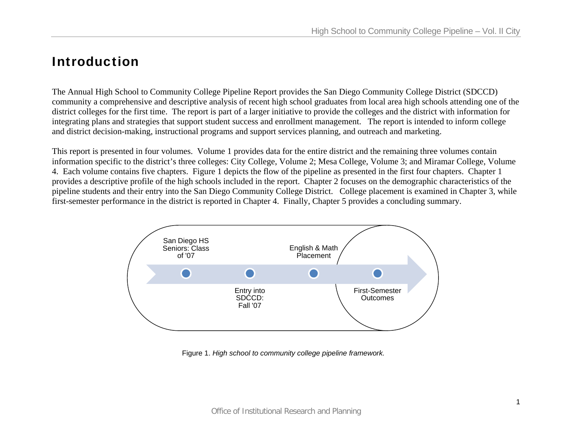## Introduction

The Annual High School to Community College Pipeline Report provides the San Diego Community College District (SDCCD) community a comprehensive and descriptive analysis of recent high school graduates from local area high schools attending one of the district colleges for the first time. The report is part of a larger initiative to provide the colleges and the district with information for integrating plans and strategies that support student success and enrollment management. The report is intended to inform college and district decision-making, instructional programs and support services planning, and outreach and marketing.

This report is presented in four volumes. Volume 1 provides data for the entire district and the remaining three volumes contain information specific to the district's three colleges: City College, Volume 2; Mesa College, Volume 3; and Miramar College, Volume 4. Each volume contains five chapters. Figure 1 depicts the flow of the pipeline as presented in the first four chapters. Chapter 1 provides a descriptive profile of the high schools included in the report. Chapter 2 focuses on the demographic characteristics of the pipeline students and their entry into the San Diego Community College District. College placement is examined in Chapter 3, while first-semester performance in the district is reported in Chapter 4. Finally, Chapter 5 provides a concluding summary.



Figure 1. *High school to community college pipeline framework.*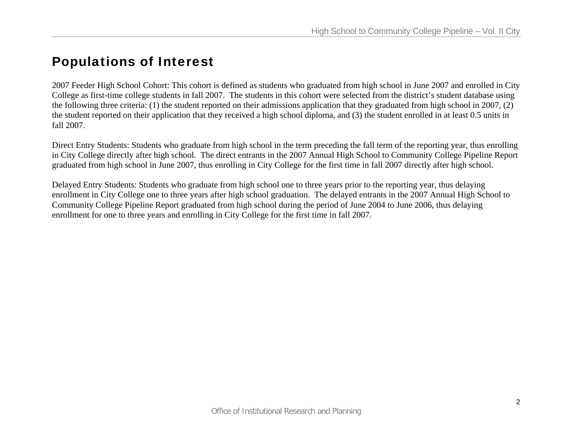# Populations of Interest

2007 Feeder High School Cohort: This cohort is defined as students who graduated from high school in June 2007 and enrolled in City College as first-time college students in fall 2007. The students in this cohort were selected from the district's student database using the following three criteria: (1) the student reported on their admissions application that they graduated from high school in 2007, (2) the student reported on their application that they received a high school diploma, and (3) the student enrolled in at least 0.5 units in fall 2007.

Direct Entry Students: Students who graduate from high school in the term preceding the fall term of the reporting year, thus enrolling in City College directly after high school. The direct entrants in the 2007 Annual High School to Community College Pipeline Report graduated from high school in June 2007, thus enrolling in City College for the first time in fall 2007 directly after high school.

Delayed Entry Students: Students who graduate from high school one to three years prior to the reporting year, thus delaying enrollment in City College one to three years after high school graduation. The delayed entrants in the 2007 Annual High School to Community College Pipeline Report graduated from high school during the period of June 2004 to June 2006, thus delaying enrollment for one to three years and enrolling in City College for the first time in fall 2007.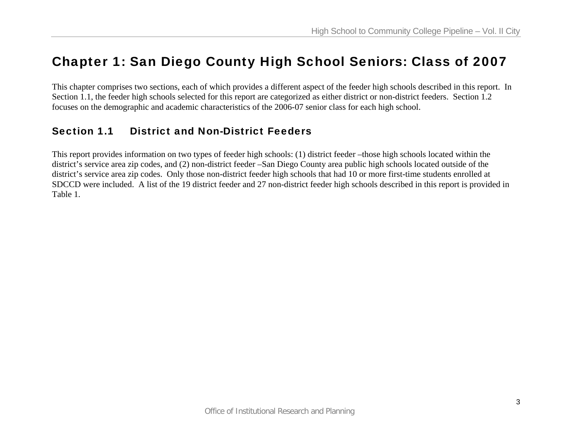# Chapter 1: San Diego County High School Seniors: Class of 2007

This chapter comprises two sections, each of which provides a different aspect of the feeder high schools described in this report. In Section 1.1, the feeder high schools selected for this report are categorized as either district or non-district feeders. Section 1.2 focuses on the demographic and academic characteristics of the 2006-07 senior class for each high school.

## Section 1.1 District and Non-District Feeders

This report provides information on two types of feeder high schools: (1) district feeder –those high schools located within the district's service area zip codes, and (2) non-district feeder –San Diego County area public high schools located outside of the district's service area zip codes. Only those non-district feeder high schools that had 10 or more first-time students enrolled at SDCCD were included. A list of the 19 district feeder and 27 non-district feeder high schools described in this report is provided in Table 1.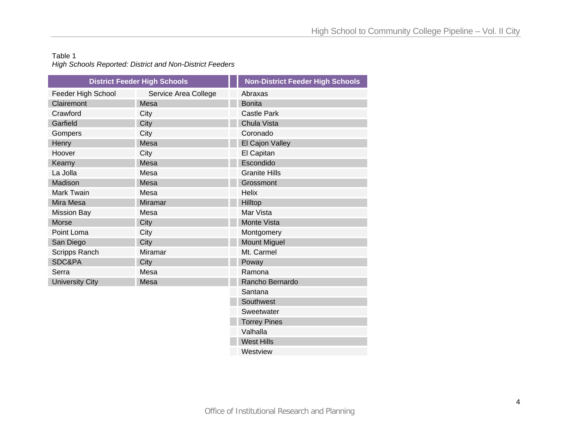## Table 1 *High Schools Reported: District and Non-District Feeders*

|                        | <b>District Feeder High Schools</b> | <b>Non-District Feeder High Schools</b> |
|------------------------|-------------------------------------|-----------------------------------------|
| Feeder High School     | Service Area College                | Abraxas                                 |
| Clairemont             | Mesa                                | <b>Bonita</b>                           |
| Crawford               | City                                | <b>Castle Park</b>                      |
| Garfield               | City                                | Chula Vista                             |
| Gompers                | City                                | Coronado                                |
| Henry                  | Mesa                                | El Cajon Valley                         |
| Hoover                 | City                                | El Capitan                              |
| Kearny                 | Mesa                                | Escondido                               |
| La Jolla               | Mesa                                | <b>Granite Hills</b>                    |
| Madison                | Mesa                                | Grossmont                               |
| Mark Twain             | Mesa                                | <b>Helix</b>                            |
| Mira Mesa              | <b>Miramar</b>                      | Hilltop                                 |
| <b>Mission Bay</b>     | Mesa                                | Mar Vista                               |
| <b>Morse</b>           | City                                | Monte Vista                             |
| Point Loma             | City                                | Montgomery                              |
| San Diego              | City                                | <b>Mount Miguel</b>                     |
| <b>Scripps Ranch</b>   | <b>Miramar</b>                      | Mt. Carmel                              |
| SDC&PA                 | City                                | Poway                                   |
| Serra                  | Mesa                                | Ramona                                  |
| <b>University City</b> | Mesa                                | Rancho Bernardo                         |
|                        |                                     | Santana                                 |
|                        |                                     | Southwest                               |
|                        |                                     | Sweetwater                              |
|                        |                                     | <b>Torrey Pines</b>                     |
|                        |                                     | Valhalla                                |
|                        |                                     | <b>West Hills</b>                       |
|                        |                                     |                                         |

**Westview**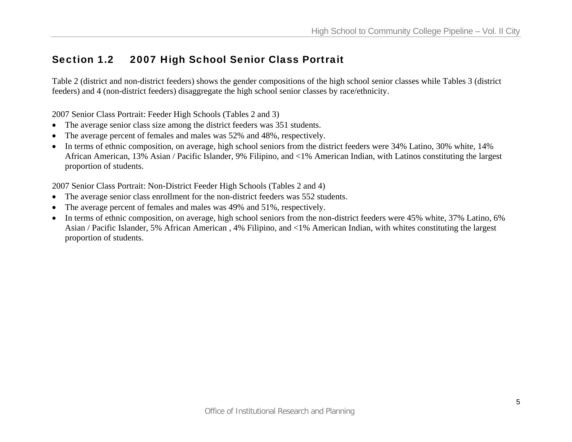## Section 1.2 2007 High School Senior Class Portrait

Table 2 (district and non-district feeders) shows the gender compositions of the high school senior classes while Tables 3 (district feeders) and 4 (non-district feeders) disaggregate the high school senior classes by race/ethnicity.

2007 Senior Class Portrait: Feeder High Schools (Tables 2 and 3)

- The average senior class size among the district feeders was 351 students.
- •The average percent of females and males was 52% and 48%, respectively.
- • In terms of ethnic composition, on average, high school seniors from the district feeders were 34% Latino, 30% white, 14% African American, 13% Asian / Pacific Islander, 9% Filipino, and <1% American Indian, with Latinos constituting the largest proportion of students.

2007 Senior Class Portrait: Non-District Feeder High Schools (Tables 2 and 4)

- The average senior class enrollment for the non-district feeders was 552 students.
- •The average percent of females and males was 49% and 51%, respectively.
- • In terms of ethnic composition, on average, high school seniors from the non-district feeders were 45% white, 37% Latino, 6% Asian / Pacific Islander, 5% African American , 4% Filipino, and <1% American Indian, with whites constituting the largest proportion of students.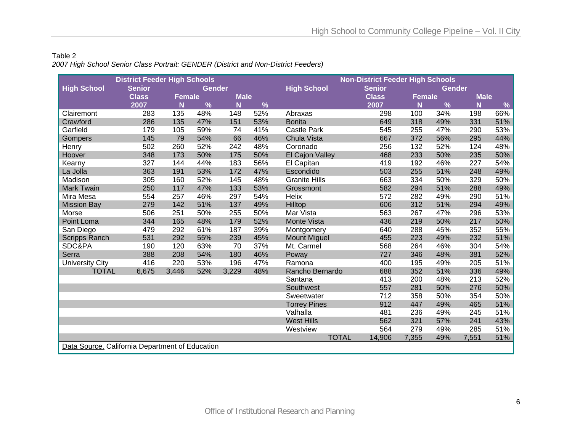## Table 2 *2007 High School Senior Class Portrait: GENDER (District and Non-District Feeders)*

|                                                 | <b>District Feeder High Schools</b> |               |               |             |     |                      | <b>Non-District Feeder High Schools</b> |        |        |             |      |
|-------------------------------------------------|-------------------------------------|---------------|---------------|-------------|-----|----------------------|-----------------------------------------|--------|--------|-------------|------|
| <b>High School</b>                              | <b>Senior</b>                       |               | <b>Gender</b> |             |     | <b>High School</b>   | <b>Senior</b>                           |        | Gender |             |      |
|                                                 | <b>Class</b>                        | <b>Female</b> |               | <b>Male</b> |     |                      | <b>Class</b>                            | Female |        | <b>Male</b> |      |
|                                                 | 2007                                | N             | %             | N           | %   |                      | 2007                                    | N      | %      | N           | $\%$ |
| Clairemont                                      | 283                                 | 135           | 48%           | 148         | 52% | Abraxas              | 298                                     | 100    | 34%    | 198         | 66%  |
| Crawford                                        | 286                                 | 135           | 47%           | 151         | 53% | <b>Bonita</b>        | 649                                     | 318    | 49%    | 331         | 51%  |
| Garfield                                        | 179                                 | 105           | 59%           | 74          | 41% | <b>Castle Park</b>   | 545                                     | 255    | 47%    | 290         | 53%  |
| Gompers                                         | 145                                 | 79            | 54%           | 66          | 46% | Chula Vista          | 667                                     | 372    | 56%    | 295         | 44%  |
| Henry                                           | 502                                 | 260           | 52%           | 242         | 48% | Coronado             | 256                                     | 132    | 52%    | 124         | 48%  |
| Hoover                                          | 348                                 | 173           | 50%           | 175         | 50% | El Cajon Valley      | 468                                     | 233    | 50%    | 235         | 50%  |
| Kearny                                          | 327                                 | 144           | 44%           | 183         | 56% | El Capitan           | 419                                     | 192    | 46%    | 227         | 54%  |
| La Jolla                                        | 363                                 | 191           | 53%           | 172         | 47% | Escondido            | 503                                     | 255    | 51%    | 248         | 49%  |
| Madison                                         | 305                                 | 160           | 52%           | 145         | 48% | <b>Granite Hills</b> | 663                                     | 334    | 50%    | 329         | 50%  |
| <b>Mark Twain</b>                               | 250                                 | 117           | 47%           | 133         | 53% | Grossmont            | 582                                     | 294    | 51%    | 288         | 49%  |
| Mira Mesa                                       | 554                                 | 257           | 46%           | 297         | 54% | Helix                | 572                                     | 282    | 49%    | 290         | 51%  |
| <b>Mission Bay</b>                              | 279                                 | 142           | 51%           | 137         | 49% | Hilltop              | 606                                     | 312    | 51%    | 294         | 49%  |
| Morse                                           | 506                                 | 251           | 50%           | 255         | 50% | Mar Vista            | 563                                     | 267    | 47%    | 296         | 53%  |
| Point Loma                                      | 344                                 | 165           | 48%           | 179         | 52% | <b>Monte Vista</b>   | 436                                     | 219    | 50%    | 217         | 50%  |
| San Diego                                       | 479                                 | 292           | 61%           | 187         | 39% | Montgomery           | 640                                     | 288    | 45%    | 352         | 55%  |
| <b>Scripps Ranch</b>                            | 531                                 | 292           | 55%           | 239         | 45% | <b>Mount Miguel</b>  | 455                                     | 223    | 49%    | 232         | 51%  |
| SDC&PA                                          | 190                                 | 120           | 63%           | 70          | 37% | Mt. Carmel           | 568                                     | 264    | 46%    | 304         | 54%  |
| Serra                                           | 388                                 | 208           | 54%           | 180         | 46% | Poway                | 727                                     | 346    | 48%    | 381         | 52%  |
| <b>University City</b>                          | 416                                 | 220           | 53%           | 196         | 47% | Ramona               | 400                                     | 195    | 49%    | 205         | 51%  |
| <b>TOTAL</b>                                    | 6,675                               | 3,446         | 52%           | 3,229       | 48% | Rancho Bernardo      | 688                                     | 352    | 51%    | 336         | 49%  |
|                                                 |                                     |               |               |             |     | Santana              | 413                                     | 200    | 48%    | 213         | 52%  |
|                                                 |                                     |               |               |             |     | Southwest            | 557                                     | 281    | 50%    | 276         | 50%  |
|                                                 |                                     |               |               |             |     | Sweetwater           | 712                                     | 358    | 50%    | 354         | 50%  |
|                                                 |                                     |               |               |             |     | <b>Torrey Pines</b>  | 912                                     | 447    | 49%    | 465         | 51%  |
|                                                 |                                     |               |               |             |     | Valhalla             | 481                                     | 236    | 49%    | 245         | 51%  |
|                                                 |                                     |               |               |             |     | <b>West Hills</b>    | 562                                     | 321    | 57%    | 241         | 43%  |
|                                                 |                                     |               |               |             |     | Westview             | 564                                     | 279    | 49%    | 285         | 51%  |
|                                                 |                                     |               |               |             |     | <b>TOTAL</b>         | 14,906                                  | 7,355  | 49%    | 7,551       | 51%  |
| Data Source. California Department of Education |                                     |               |               |             |     |                      |                                         |        |        |             |      |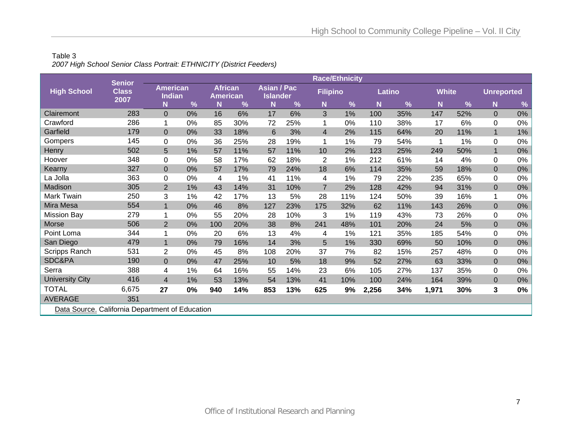## Table 3 *2007 High School Senior Class Portrait: ETHNICITY (District Feeders)*

|                                                 | <b>Senior</b>        |                                  |    |                                   |     |                                       |     |                 | <b>Race/Ethnicity</b> |       |        |              |     |                   |       |
|-------------------------------------------------|----------------------|----------------------------------|----|-----------------------------------|-----|---------------------------------------|-----|-----------------|-----------------------|-------|--------|--------------|-----|-------------------|-------|
| <b>High School</b>                              | <b>Class</b><br>2007 | <b>American</b><br><b>Indian</b> |    | <b>African</b><br><b>American</b> |     | <b>Asian / Pac</b><br><b>Islander</b> |     | <b>Filipino</b> |                       |       | Latino | <b>White</b> |     | <b>Unreported</b> |       |
|                                                 |                      | N                                | %  | N                                 | %   | N                                     | %   | N               | $\frac{9}{6}$         | N     | %      | N            | %   | N                 | %     |
| Clairemont                                      | 283                  | $\overline{0}$                   | 0% | 16                                | 6%  | 17                                    | 6%  | 3               | 1%                    | 100   | 35%    | 147          | 52% | $\overline{0}$    | $0\%$ |
| Crawford                                        | 286                  |                                  | 0% | 85                                | 30% | 72                                    | 25% |                 | 0%                    | 110   | 38%    | 17           | 6%  | 0                 | 0%    |
| Garfield                                        | 179                  | $\overline{0}$                   | 0% | 33                                | 18% | 6                                     | 3%  | $\overline{4}$  | 2%                    | 115   | 64%    | 20           | 11% | $\mathbf 1$       | $1\%$ |
| Gompers                                         | 145                  | $\Omega$                         | 0% | 36                                | 25% | 28                                    | 19% | 1               | 1%                    | 79    | 54%    |              | 1%  | $\Omega$          | $0\%$ |
| Henry                                           | 502                  | 5                                | 1% | 57                                | 11% | 57                                    | 11% | 10              | 2%                    | 123   | 25%    | 249          | 50% |                   | $0\%$ |
| Hoover                                          | 348                  | 0                                | 0% | 58                                | 17% | 62                                    | 18% | $\overline{2}$  | 1%                    | 212   | 61%    | 14           | 4%  | $\Omega$          | 0%    |
| Kearny                                          | 327                  | $\Omega$                         | 0% | 57                                | 17% | 79                                    | 24% | 18              | 6%                    | 114   | 35%    | 59           | 18% | $\mathbf{0}$      | $0\%$ |
| La Jolla                                        | 363                  | 0                                | 0% | 4                                 | 1%  | 41                                    | 11% | 4               | 1%                    | 79    | 22%    | 235          | 65% | 0                 | $0\%$ |
| Madison                                         | 305                  | $\overline{2}$                   | 1% | 43                                | 14% | 31                                    | 10% | $\overline{7}$  | 2%                    | 128   | 42%    | 94           | 31% | $\Omega$          | $0\%$ |
| <b>Mark Twain</b>                               | 250                  | 3                                | 1% | 42                                | 17% | 13                                    | 5%  | 28              | 11%                   | 124   | 50%    | 39           | 16% | 1                 | 0%    |
| Mira Mesa                                       | 554                  | $\mathbf{1}$                     | 0% | 46                                | 8%  | 127                                   | 23% | 175             | 32%                   | 62    | 11%    | 143          | 26% | $\overline{0}$    | 0%    |
| <b>Mission Bay</b>                              | 279                  |                                  | 0% | 55                                | 20% | 28                                    | 10% | 3               | 1%                    | 119   | 43%    | 73           | 26% | $\mathbf 0$       | $0\%$ |
| Morse                                           | 506                  | 2                                | 0% | 100                               | 20% | 38                                    | 8%  | 241             | 48%                   | 101   | 20%    | 24           | 5%  | $\overline{0}$    | $0\%$ |
| Point Loma                                      | 344                  |                                  | 0% | 20                                | 6%  | 13                                    | 4%  | 4               | 1%                    | 121   | 35%    | 185          | 54% | $\Omega$          | 0%    |
| San Diego                                       | 479                  | $\mathbf{1}$                     | 0% | 79                                | 16% | 14                                    | 3%  | 5               | 1%                    | 330   | 69%    | 50           | 10% | $\overline{0}$    | 0%    |
| Scripps Ranch                                   | 531                  | $\overline{2}$                   | 0% | 45                                | 8%  | 108                                   | 20% | 37              | 7%                    | 82    | 15%    | 257          | 48% | 0                 | 0%    |
| SDC&PA                                          | 190                  | $\overline{0}$                   | 0% | 47                                | 25% | 10                                    | 5%  | 18              | 9%                    | 52    | 27%    | 63           | 33% | $\overline{0}$    | $0\%$ |
| Serra                                           | 388                  | 4                                | 1% | 64                                | 16% | 55                                    | 14% | 23              | 6%                    | 105   | 27%    | 137          | 35% | 0                 | $0\%$ |
| <b>University City</b>                          | 416                  | $\overline{4}$                   | 1% | 53                                | 13% | 54                                    | 13% | 41              | 10%                   | 100   | 24%    | 164          | 39% | $\mathbf{0}$      | $0\%$ |
| <b>TOTAL</b>                                    | 6,675                | 27                               | 0% | 940                               | 14% | 853                                   | 13% | 625             | 9%                    | 2,256 | 34%    | 1,971        | 30% | 3                 | $0\%$ |
| <b>AVERAGE</b>                                  | 351                  |                                  |    |                                   |     |                                       |     |                 |                       |       |        |              |     |                   |       |
| Data Source. California Department of Education |                      |                                  |    |                                   |     |                                       |     |                 |                       |       |        |              |     |                   |       |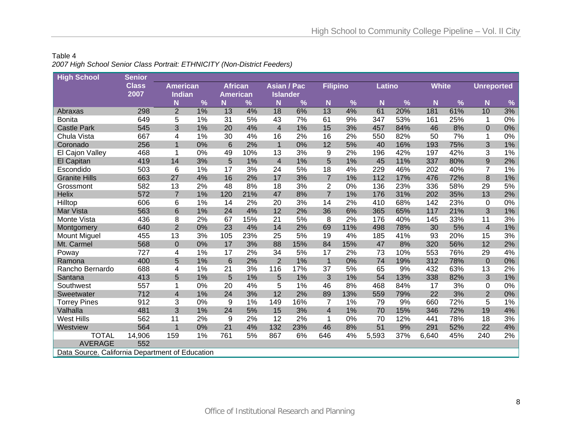## Table 4 *2007 High School Senior Class Portrait: ETHNICITY (Non-District Feeders)*

| <b>High School</b>                              | <b>Senior</b>        |                                  |    |                                   |      |                                       |     |                         |     |        |     |              |               |                   |       |
|-------------------------------------------------|----------------------|----------------------------------|----|-----------------------------------|------|---------------------------------------|-----|-------------------------|-----|--------|-----|--------------|---------------|-------------------|-------|
|                                                 | <b>Class</b><br>2007 | <b>American</b><br><b>Indian</b> |    | <b>African</b><br><b>American</b> |      | <b>Asian / Pac</b><br><b>Islander</b> |     | <b>Filipino</b>         |     | Latino |     | <b>White</b> |               | <b>Unreported</b> |       |
|                                                 |                      | N                                | %  | N                                 | $\%$ | N                                     | %   | N                       | %   | N      | %   | N            | $\frac{9}{6}$ | N                 | $\%$  |
| Abraxas                                         | 298                  | $\overline{2}$                   | 1% | 13                                | 4%   | 18                                    | 6%  | 13                      | 4%  | 61     | 20% | 181          | 61%           | 10                | 3%    |
| <b>Bonita</b>                                   | 649                  | 5                                | 1% | 31                                | 5%   | 43                                    | 7%  | 61                      | 9%  | 347    | 53% | 161          | 25%           | 1                 | 0%    |
| <b>Castle Park</b>                              | 545                  | 3                                | 1% | 20                                | 4%   | $\overline{4}$                        | 1%  | 15                      | 3%  | 457    | 84% | 46           | 8%            | $\mathbf{0}$      | 0%    |
| Chula Vista                                     | 667                  | 4                                | 1% | 30                                | 4%   | 16                                    | 2%  | 16                      | 2%  | 550    | 82% | 50           | 7%            | 1                 | 0%    |
| Coronado                                        | 256                  | $\mathbf{1}$                     | 0% | $6\phantom{1}6$                   | 2%   | $\mathbf{1}$                          | 0%  | 12                      | 5%  | 40     | 16% | 193          | 75%           | 3                 | $1\%$ |
| El Cajon Valley                                 | 468                  | 1                                | 0% | 49                                | 10%  | 13                                    | 3%  | 9                       | 2%  | 196    | 42% | 197          | 42%           | 3                 | 1%    |
| El Capitan                                      | 419                  | 14                               | 3% | 5                                 | 1%   | $\overline{\mathbf{4}}$               | 1%  | 5                       | 1%  | 45     | 11% | 337          | 80%           | 9                 | 2%    |
| Escondido                                       | 503                  | 6                                | 1% | 17                                | 3%   | 24                                    | 5%  | 18                      | 4%  | 229    | 46% | 202          | 40%           | $\overline{7}$    | 1%    |
| <b>Granite Hills</b>                            | 663                  | 27                               | 4% | 16                                | 2%   | 17                                    | 3%  | $\overline{7}$          | 1%  | 112    | 17% | 476          | 72%           | 8                 | $1\%$ |
| Grossmont                                       | 582                  | 13                               | 2% | 48                                | 8%   | 18                                    | 3%  | $\overline{2}$          | 0%  | 136    | 23% | 336          | 58%           | 29                | 5%    |
| <b>Helix</b>                                    | 572                  | $\overline{7}$                   | 1% | 120                               | 21%  | 47                                    | 8%  | $\overline{7}$          | 1%  | 176    | 31% | 202          | 35%           | 13                | 2%    |
| Hilltop                                         | 606                  | 6                                | 1% | 14                                | 2%   | 20                                    | 3%  | 14                      | 2%  | 410    | 68% | 142          | 23%           | 0                 | 0%    |
| Mar Vista                                       | 563                  | 6                                | 1% | 24                                | 4%   | 12                                    | 2%  | 36                      | 6%  | 365    | 65% | 117          | 21%           | 3                 | $1\%$ |
| Monte Vista                                     | 436                  | 8                                | 2% | 67                                | 15%  | 21                                    | 5%  | 8                       | 2%  | 176    | 40% | 145          | 33%           | 11                | 3%    |
| Montgomery                                      | 640                  | $\overline{2}$                   | 0% | 23                                | 4%   | 14                                    | 2%  | 69                      | 11% | 498    | 78% | 30           | 5%            | $\overline{4}$    | $1\%$ |
| <b>Mount Miguel</b>                             | 455                  | 13                               | 3% | 105                               | 23%  | 25                                    | 5%  | 19                      | 4%  | 185    | 41% | 93           | 20%           | 15                | 3%    |
| Mt. Carmel                                      | 568                  | $\mathbf 0$                      | 0% | 17                                | 3%   | 88                                    | 15% | 84                      | 15% | 47     | 8%  | 320          | 56%           | 12                | 2%    |
| Poway                                           | 727                  | 4                                | 1% | 17                                | 2%   | 34                                    | 5%  | 17                      | 2%  | 73     | 10% | 553          | 76%           | 29                | 4%    |
| Ramona                                          | 400                  | 5                                | 1% | $6\phantom{1}6$                   | 2%   | $\overline{2}$                        | 1%  | $\mathbf{1}$            | 0%  | 74     | 19% | 312          | 78%           | $\mathbf{0}$      | $0\%$ |
| Rancho Bernardo                                 | 688                  | 4                                | 1% | 21                                | 3%   | 116                                   | 17% | 37                      | 5%  | 65     | 9%  | 432          | 63%           | 13                | 2%    |
| Santana                                         | 413                  | 5                                | 1% | 5                                 | 1%   | 5                                     | 1%  | 3                       | 1%  | 54     | 13% | 338          | 82%           | 3                 | $1\%$ |
| Southwest                                       | 557                  | 1                                | 0% | 20                                | 4%   | 5                                     | 1%  | 46                      | 8%  | 468    | 84% | 17           | 3%            | 0                 | 0%    |
| Sweetwater                                      | 712                  | $\overline{\mathcal{L}}$         | 1% | 24                                | 3%   | 12                                    | 2%  | 89                      | 13% | 559    | 79% | 22           | 3%            | $\overline{2}$    | 0%    |
| <b>Torrey Pines</b>                             | 912                  | 3                                | 0% | 9                                 | 1%   | 149                                   | 16% | 7                       | 1%  | 79     | 9%  | 660          | 72%           | 5                 | 1%    |
| Valhalla                                        | 481                  | 3                                | 1% | 24                                | 5%   | 15                                    | 3%  | $\overline{\mathbf{4}}$ | 1%  | 70     | 15% | 346          | 72%           | 19                | 4%    |
| <b>West Hills</b>                               | 562                  | 11                               | 2% | 9                                 | 2%   | 12                                    | 2%  | $\mathbf{1}$            | 0%  | 70     | 12% | 441          | 78%           | 18                | 3%    |
| Westview                                        | 564                  | $\overline{1}$                   | 0% | 21                                | 4%   | 132                                   | 23% | 46                      | 8%  | 51     | 9%  | 291          | 52%           | 22                | $4\%$ |
| <b>TOTAL</b>                                    | 14,906               | 159                              | 1% | 761                               | 5%   | 867                                   | 6%  | 646                     | 4%  | 5,593  | 37% | 6,640        | 45%           | 240               | 2%    |
| <b>AVERAGE</b>                                  | 552                  |                                  |    |                                   |      |                                       |     |                         |     |        |     |              |               |                   |       |
| Data Source. California Department of Education |                      |                                  |    |                                   |      |                                       |     |                         |     |        |     |              |               |                   |       |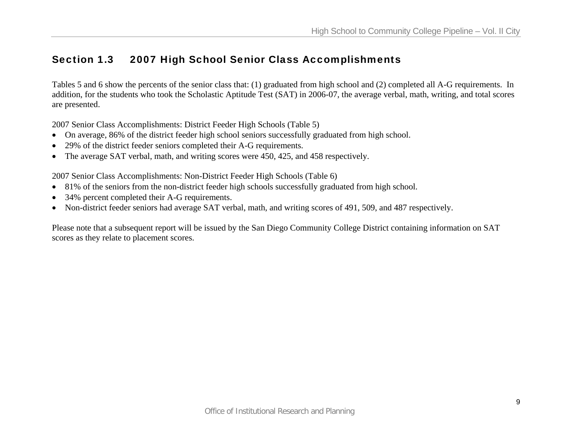## Section 1.3 2007 High School Senior Class Accomplishments

Tables 5 and 6 show the percents of the senior class that: (1) graduated from high school and (2) completed all A-G requirements. In addition, for the students who took the Scholastic Aptitude Test (SAT) in 2006-07, the average verbal, math, writing, and total scores are presented.

2007 Senior Class Accomplishments: District Feeder High Schools (Table 5)

- On average, 86% of the district feeder high school seniors successfully graduated from high school.
- 29% of the district feeder seniors completed their A-G requirements.
- The average SAT verbal, math, and writing scores were 450, 425, and 458 respectively.

2007 Senior Class Accomplishments: Non-District Feeder High Schools (Table 6)

- 81% of the seniors from the non-district feeder high schools successfully graduated from high school.
- $\bullet$ 34% percent completed their A-G requirements.
- $\bullet$ Non-district feeder seniors had average SAT verbal, math, and writing scores of 491, 509, and 487 respectively.

Please note that a subsequent report will be issued by the San Diego Community College District containing information on SAT scores as they relate to placement scores.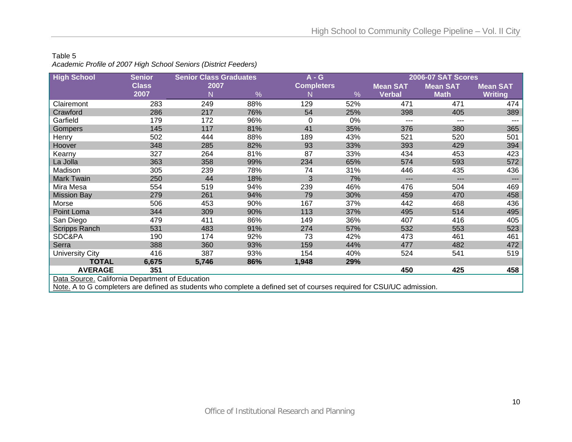#### Table 5

*Academic Profile of 2007 High School Seniors (District Feeders)* 

| <b>High School</b>                                                                                                   | <b>Senior</b> | <b>Senior Class Graduates</b> |      | $A - G$           |      |                 | <b>2006-07 SAT Scores</b> |                     |  |  |  |  |  |
|----------------------------------------------------------------------------------------------------------------------|---------------|-------------------------------|------|-------------------|------|-----------------|---------------------------|---------------------|--|--|--|--|--|
|                                                                                                                      | <b>Class</b>  | 2007                          |      | <b>Completers</b> |      | <b>Mean SAT</b> | <b>Mean SAT</b>           | <b>Mean SAT</b>     |  |  |  |  |  |
|                                                                                                                      | 2007          | N                             | $\%$ | N                 | $\%$ | <b>Verbal</b>   | <b>Math</b>               | <b>Writing</b>      |  |  |  |  |  |
| Clairemont                                                                                                           | 283           | 249                           | 88%  | 129               | 52%  | 471             | 471                       | 474                 |  |  |  |  |  |
| Crawford                                                                                                             | 286           | 217                           | 76%  | 54                | 25%  | 398             | 405                       | 389                 |  |  |  |  |  |
| Garfield                                                                                                             | 179           | 172                           | 96%  | 0                 | 0%   | ---             | $---$                     | ---                 |  |  |  |  |  |
| Gompers                                                                                                              | 145           | 117                           | 81%  | 41                | 35%  | 376             | 380                       | 365                 |  |  |  |  |  |
| Henry                                                                                                                | 502           | 444                           | 88%  | 189               | 43%  | 521             | 520                       | 501                 |  |  |  |  |  |
| Hoover                                                                                                               | 348           | 285                           | 82%  | 93                | 33%  | 393             | 429                       | 394                 |  |  |  |  |  |
| Kearny                                                                                                               | 327           | 264                           | 81%  | 87                | 33%  | 434             | 453                       | 423                 |  |  |  |  |  |
| La Jolla                                                                                                             | 363           | 358                           | 99%  | 234               | 65%  | 574             | 593                       | 572                 |  |  |  |  |  |
| Madison                                                                                                              | 305           | 239                           | 78%  | 74                | 31%  | 446             | 435                       | 436                 |  |  |  |  |  |
| Mark Twain                                                                                                           | 250           | 44                            | 18%  | 3                 | 7%   | ---             | $---$                     | $\qquad \qquad - -$ |  |  |  |  |  |
| Mira Mesa                                                                                                            | 554           | 519                           | 94%  | 239               | 46%  | 476             | 504                       | 469                 |  |  |  |  |  |
| <b>Mission Bay</b>                                                                                                   | 279           | 261                           | 94%  | 79                | 30%  | 459             | 470                       | 458                 |  |  |  |  |  |
| Morse                                                                                                                | 506           | 453                           | 90%  | 167               | 37%  | 442             | 468                       | 436                 |  |  |  |  |  |
| Point Loma                                                                                                           | 344           | 309                           | 90%  | 113               | 37%  | 495             | 514                       | 495                 |  |  |  |  |  |
| San Diego                                                                                                            | 479           | 411                           | 86%  | 149               | 36%  | 407             | 416                       | 405                 |  |  |  |  |  |
| <b>Scripps Ranch</b>                                                                                                 | 531           | 483                           | 91%  | 274               | 57%  | 532             | 553                       | 523                 |  |  |  |  |  |
| SDC&PA                                                                                                               | 190           | 174                           | 92%  | 73                | 42%  | 473             | 461                       | 461                 |  |  |  |  |  |
| Serra                                                                                                                | 388           | 360                           | 93%  | 159               | 44%  | 477             | 482                       | 472                 |  |  |  |  |  |
| University City                                                                                                      | 416           | 387                           | 93%  | 154               | 40%  | 524             | 541                       | 519                 |  |  |  |  |  |
| <b>TOTAL</b>                                                                                                         | 6,675         | 5,746                         | 86%  | 1,948             | 29%  |                 |                           |                     |  |  |  |  |  |
| <b>AVERAGE</b>                                                                                                       | 351           |                               |      |                   |      | 450             | 425                       | 458                 |  |  |  |  |  |
| Data Source. California Department of Education                                                                      |               |                               |      |                   |      |                 |                           |                     |  |  |  |  |  |
| Note. A to G completers are defined as students who complete a defined set of courses required for CSU/UC admission. |               |                               |      |                   |      |                 |                           |                     |  |  |  |  |  |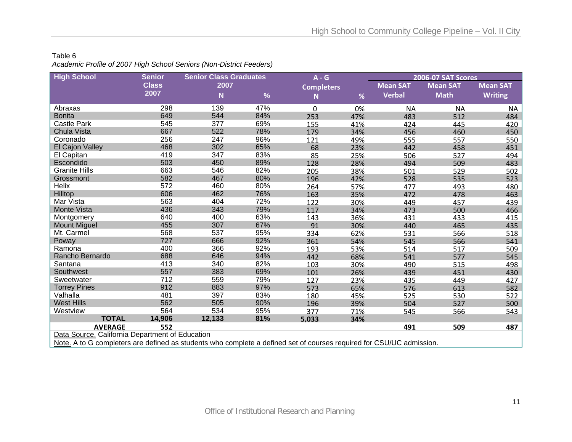#### Table 6 *Academic Profile of 2007 High School Seniors (Non-District Feeders)*

| <b>High School</b>                                                                                                 | <b>Senior</b> | <b>Senior Class Graduates</b> |     | $A - G$           |     |                 | 2006-07 SAT Scores |                 |
|--------------------------------------------------------------------------------------------------------------------|---------------|-------------------------------|-----|-------------------|-----|-----------------|--------------------|-----------------|
|                                                                                                                    | <b>Class</b>  | 2007                          |     | <b>Completers</b> |     | <b>Mean SAT</b> | <b>Mean SAT</b>    | <b>Mean SAT</b> |
|                                                                                                                    | 2007          | N                             | %   | N                 | %   | <b>Verbal</b>   | <b>Math</b>        | <b>Writing</b>  |
| Abraxas                                                                                                            | 298           | 139                           | 47% | 0                 | 0%  | <b>NA</b>       | <b>NA</b>          | <b>NA</b>       |
| <b>Bonita</b>                                                                                                      | 649           | 544                           | 84% | 253               | 47% | 483             | 512                | 484             |
| <b>Castle Park</b>                                                                                                 | 545           | 377                           | 69% | 155               | 41% | 424             | 445                | 420             |
| Chula Vista                                                                                                        | 667           | 522                           | 78% | 179               | 34% | 456             | 460                | 450             |
| Coronado                                                                                                           | 256           | 247                           | 96% | 121               | 49% | 555             | 557                | 550             |
| El Cajon Valley                                                                                                    | 468           | 302                           | 65% | 68                | 23% | 442             | 458                | 451             |
| El Capitan                                                                                                         | 419           | 347                           | 83% | 85                | 25% | 506             | 527                | 494             |
| Escondido                                                                                                          | 503           | 450                           | 89% | 128               | 28% | 494             | 509                | 483             |
| <b>Granite Hills</b>                                                                                               | 663           | 546                           | 82% | 205               | 38% | 501             | 529                | 502             |
| Grossmont                                                                                                          | 582           | 467                           | 80% | 196               | 42% | 528             | 535                | 523             |
| Helix                                                                                                              | 572           | 460                           | 80% | 264               | 57% | 477             | 493                | 480             |
| Hilltop                                                                                                            | 606           | 462                           | 76% | 163               | 35% | 472             | 478                | 463             |
| Mar Vista                                                                                                          | 563           | 404                           | 72% | 122               | 30% | 449             | 457                | 439             |
| Monte Vista                                                                                                        | 436           | 343                           | 79% | 117               | 34% | 473             | 500                | 466             |
| Montgomery                                                                                                         | 640           | 400                           | 63% | 143               | 36% | 431             | 433                | 415             |
| <b>Mount Miguel</b>                                                                                                | 455           | 307                           | 67% | 91                | 30% | 440             | 465                | 435             |
| Mt. Carmel                                                                                                         | 568           | 537                           | 95% | 334               | 62% | 531             | 566                | 518             |
| Poway                                                                                                              | 727           | 666                           | 92% | 361               | 54% | 545             | 566                | 541             |
| Ramona                                                                                                             | 400           | 366                           | 92% | 193               | 53% | 514             | 517                | 509             |
| Rancho Bernardo                                                                                                    | 688           | 646                           | 94% | 442               | 68% | 541             | 577                | 545             |
| Santana                                                                                                            | 413           | 340                           | 82% | 103               | 30% | 490             | 515                | 498             |
| Southwest                                                                                                          | 557           | 383                           | 69% | 101               | 26% | 439             | 451                | 430             |
| Sweetwater                                                                                                         | 712           | 559                           | 79% | 127               | 23% | 435             | 449                | 427             |
| <b>Torrey Pines</b>                                                                                                | 912           | 883                           | 97% | 573               | 65% | 576             | 613                | 582             |
| Valhalla                                                                                                           | 481           | 397                           | 83% | 180               | 45% | 525             | 530                | 522             |
| <b>West Hills</b>                                                                                                  | 562           | 505                           | 90% | 196               | 39% | 504             | 527                | 500             |
| Westview                                                                                                           | 564           | 534                           | 95% | 377               | 71% | 545             | 566                | 543             |
| <b>TOTAL</b>                                                                                                       | 14,906        | 12,133                        | 81% | 5,033             | 34% |                 |                    |                 |
| <b>AVERAGE</b>                                                                                                     | 552           |                               |     |                   |     | 491             | 509                | 487             |
| Data Source. California Department of Education                                                                    |               |                               |     |                   |     |                 |                    |                 |
| Nata A to C complete to a defined as students who complete a defined est of courses required for COULD C education |               |                               |     |                   |     |                 |                    |                 |

<u>Note.</u> A to G completers are defined as students who complete a defined set of courses required for CSU/UC admission.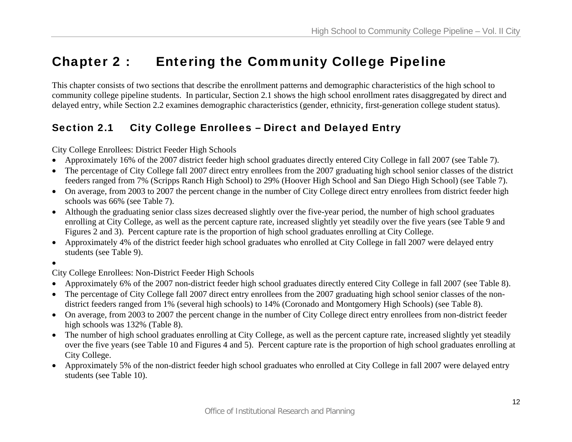## Chapter 2 : Entering the Community College Pipeline

This chapter consists of two sections that describe the enrollment patterns and demographic characteristics of the high school to community college pipeline students. In particular, Section 2.1 shows the high school enrollment rates disaggregated by direct and delayed entry, while Section 2.2 examines demographic characteristics (gender, ethnicity, first-generation college student status).

## Section 2.1 City College Enrollees – Direct and Delayed Entry

City College Enrollees: District Feeder High Schools

- •Approximately 16% of the 2007 district feeder high school graduates directly entered City College in fall 2007 (see Table 7).
- The percentage of City College fall 2007 direct entry enrollees from the 2007 graduating high school senior classes of the district feeders ranged from 7% (Scripps Ranch High School) to 29% (Hoover High School and San Diego High School) (see Table 7).
- On average, from 2003 to 2007 the percent change in the number of City College direct entry enrollees from district feeder high schools was 66% (see Table 7).
- Although the graduating senior class sizes decreased slightly over the five-year period, the number of high school graduates enrolling at City College, as well as the percent capture rate, increased slightly yet steadily over the five years (see Table 9 and Figures 2 and 3). Percent capture rate is the proportion of high school graduates enrolling at City College.
- Approximately 4% of the district feeder high school graduates who enrolled at City College in fall 2007 were delayed entry students (see Table 9).
- •

City College Enrollees: Non-District Feeder High Schools

- •Approximately 6% of the 2007 non-district feeder high school graduates directly entered City College in fall 2007 (see Table 8).
- The percentage of City College fall 2007 direct entry enrollees from the 2007 graduating high school senior classes of the nondistrict feeders ranged from 1% (several high schools) to 14% (Coronado and Montgomery High Schools) (see Table 8).
- On average, from 2003 to 2007 the percent change in the number of City College direct entry enrollees from non-district feeder high schools was 132% (Table 8).
- The number of high school graduates enrolling at City College, as well as the percent capture rate, increased slightly yet steadily over the five years (see Table 10 and Figures 4 and 5). Percent capture rate is the proportion of high school graduates enrolling at City College.
- Approximately 5% of the non-district feeder high school graduates who enrolled at City College in fall 2007 were delayed entry students (see Table 10).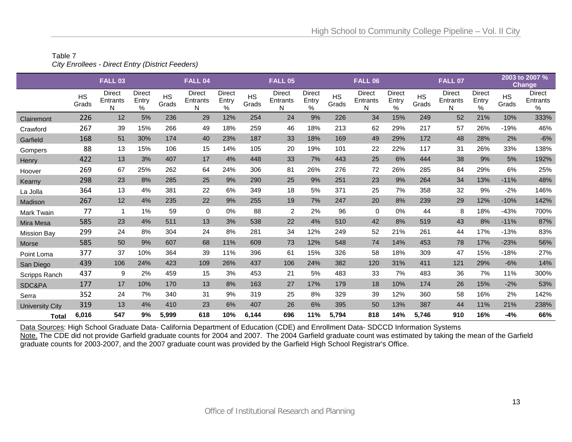#### Table 7 *City Enrollees - Direct Entry (District Feeders)*

|                    |                    | <b>FALL 03</b>                 |                             |                    | <b>FALL 04</b>          |                             |                    | <b>FALL 05</b>          |                                |                    | <b>FALL 06</b>          |                                |                    | <b>FALL 07</b>                 |                                |                    | 2003 to 2007 %<br><b>Change</b> |
|--------------------|--------------------|--------------------------------|-----------------------------|--------------------|-------------------------|-----------------------------|--------------------|-------------------------|--------------------------------|--------------------|-------------------------|--------------------------------|--------------------|--------------------------------|--------------------------------|--------------------|---------------------------------|
|                    | <b>HS</b><br>Grads | <b>Direct</b><br>Entrants<br>N | <b>Direct</b><br>Entry<br>% | <b>HS</b><br>Grads | Direct<br>Entrants<br>N | <b>Direct</b><br>Entry<br>% | <b>HS</b><br>Grads | Direct<br>Entrants<br>N | <b>Direct</b><br>Entry<br>$\%$ | <b>HS</b><br>Grads | Direct<br>Entrants<br>Ν | <b>Direct</b><br>Entry<br>$\%$ | <b>HS</b><br>Grads | <b>Direct</b><br>Entrants<br>N | <b>Direct</b><br>Entry<br>$\%$ | <b>HS</b><br>Grads | <b>Direct</b><br>Entrants<br>%  |
| Clairemont         | 226                | 12                             | 5%                          | 236                | 29                      | 12%                         | 254                | 24                      | 9%                             | 226                | 34                      | 15%                            | 249                | 52                             | 21%                            | 10%                | 333%                            |
| Crawford           | 267                | 39                             | 15%                         | 266                | 49                      | 18%                         | 259                | 46                      | 18%                            | 213                | 62                      | 29%                            | 217                | 57                             | 26%                            | $-19%$             | 46%                             |
| Garfield           | 168                | 51                             | 30%                         | 174                | 40                      | 23%                         | 187                | 33                      | 18%                            | 169                | 49                      | 29%                            | 172                | 48                             | 28%                            | 2%                 | $-6%$                           |
| Gompers            | 88                 | 13                             | 15%                         | 106                | 15                      | 14%                         | 105                | 20                      | 19%                            | 101                | 22                      | 22%                            | 117                | 31                             | 26%                            | 33%                | 138%                            |
| Henry              | 422                | 13                             | 3%                          | 407                | 17                      | 4%                          | 448                | 33                      | 7%                             | 443                | 25                      | 6%                             | 444                | 38                             | 9%                             | 5%                 | 192%                            |
| Hoover             | 269                | 67                             | 25%                         | 262                | 64                      | 24%                         | 306                | 81                      | 26%                            | 276                | 72                      | 26%                            | 285                | 84                             | 29%                            | 6%                 | 25%                             |
| Kearny             | 298                | 23                             | 8%                          | 285                | 25                      | 9%                          | 290                | 25                      | 9%                             | 251                | 23                      | 9%                             | 264                | 34                             | 13%                            | $-11%$             | 48%                             |
| La Jolla           | 364                | 13                             | 4%                          | 381                | 22                      | 6%                          | 349                | 18                      | 5%                             | 371                | 25                      | 7%                             | 358                | 32                             | 9%                             | $-2%$              | 146%                            |
| Madison            | 267                | 12                             | 4%                          | 235                | 22                      | 9%                          | 255                | 19                      | 7%                             | 247                | 20                      | 8%                             | 239                | 29                             | 12%                            | $-10%$             | 142%                            |
| Mark Twain         | 77                 | -1                             | 1%                          | 59                 | $\mathbf 0$             | 0%                          | 88                 | 2                       | 2%                             | 96                 | $\mathbf 0$             | 0%                             | 44                 | 8                              | 18%                            | $-43%$             | 700%                            |
| Mira Mesa          | 585                | 23                             | 4%                          | 511                | 13                      | 3%                          | 538                | 22                      | 4%                             | 510                | 42                      | 8%                             | 519                | 43                             | 8%                             | $-11%$             | 87%                             |
| <b>Mission Bay</b> | 299                | 24                             | 8%                          | 304                | 24                      | 8%                          | 281                | 34                      | 12%                            | 249                | 52                      | 21%                            | 261                | 44                             | 17%                            | $-13%$             | 83%                             |
| Morse              | 585                | 50                             | 9%                          | 607                | 68                      | 11%                         | 609                | 73                      | 12%                            | 548                | 74                      | 14%                            | 453                | 78                             | 17%                            | $-23%$             | 56%                             |
| Point Loma         | 377                | 37                             | 10%                         | 364                | 39                      | 11%                         | 396                | 61                      | 15%                            | 326                | 58                      | 18%                            | 309                | 47                             | 15%                            | $-18%$             | 27%                             |
| San Diego          | 439                | 106                            | 24%                         | 423                | 109                     | 26%                         | 437                | 106                     | 24%                            | 382                | 120                     | 31%                            | 411                | 121                            | 29%                            | $-6%$              | 14%                             |
| Scripps Ranch      | 437                | 9                              | 2%                          | 459                | 15                      | 3%                          | 453                | 21                      | 5%                             | 483                | 33                      | 7%                             | 483                | 36                             | 7%                             | 11%                | 300%                            |
| SDC&PA             | 177                | 17                             | 10%                         | 170                | 13                      | 8%                          | 163                | 27                      | 17%                            | 179                | 18                      | 10%                            | 174                | 26                             | 15%                            | $-2%$              | 53%                             |
| Serra              | 352                | 24                             | 7%                          | 340                | 31                      | 9%                          | 319                | 25                      | 8%                             | 329                | 39                      | 12%                            | 360                | 58                             | 16%                            | 2%                 | 142%                            |
| University City    | 319                | 13                             | 4%                          | 410                | 23                      | 6%                          | 407                | 26                      | 6%                             | 395                | 50                      | 13%                            | 387                | 44                             | 11%                            | 21%                | 238%                            |
| <b>Total</b>       | 6,016              | 547                            | 9%                          | 5,999              | 618                     | 10%                         | 6,144              | 696                     | 11%                            | 5,794              | 818                     | 14%                            | 5,746              | 910                            | 16%                            | $-4%$              | 66%                             |

Data Sources: High School Graduate Data- California Department of Education (CDE) and Enrollment Data- SDCCD Information Systems

Note. The CDE did not provide Garfield graduate counts for 2004 and 2007. The 2004 Garfield graduate count was estimated by taking the mean of the Garfield graduate counts for 2003-2007, and the 2007 graduate count was provided by the Garfield High School Registrar's Office.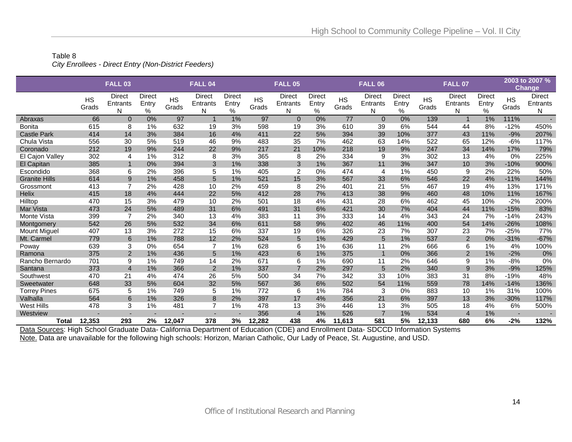#### Table 8 *City Enrollees - Direct Entry (Non-District Feeders)*

|                      |                    | <b>FALL 03</b>          |                             |                    | FALL <sub>04</sub>      |                                |                    | <b>FALL 05</b>           |                                |                    | <b>FALL 06</b>                 |                                |                    | <b>FALL 07</b>                 |                         |                          | 2003 to 2007 %<br><b>Change</b> |
|----------------------|--------------------|-------------------------|-----------------------------|--------------------|-------------------------|--------------------------------|--------------------|--------------------------|--------------------------------|--------------------|--------------------------------|--------------------------------|--------------------|--------------------------------|-------------------------|--------------------------|---------------------------------|
|                      | <b>HS</b><br>Grads | Direct<br>Entrants<br>N | <b>Direct</b><br>Entry<br>% | <b>HS</b><br>Grads | Direct<br>Entrants<br>N | <b>Direct</b><br>Entry<br>$\%$ | <b>HS</b><br>Grads | Direct<br>Entrants<br>N  | <b>Direct</b><br>Entry<br>$\%$ | <b>HS</b><br>Grads | <b>Direct</b><br>Entrants<br>N | <b>Direct</b><br>Entry<br>$\%$ | <b>HS</b><br>Grads | <b>Direct</b><br>Entrants<br>N | Direct<br>Entry<br>$\%$ | <b>HS</b><br>Grads       | Direct<br>Entrants<br>N         |
| Abraxas              | 66                 | $\Omega$                | 0%                          | 97                 | $\mathbf 1$             | 1%                             | 97                 | $\Omega$                 | 0%                             | 77                 | $\Omega$                       | 0%                             | 139                | $\mathbf{1}$                   | 1%                      | 111%                     |                                 |
| <b>Bonita</b>        | 615                | 8                       | 1%                          | 632                | 19                      | 3%                             | 598                | 19                       | 3%                             | 610                | 39                             | 6%                             | 544                | 44                             | 8%                      | $-12%$                   | 450%                            |
| <b>Castle Park</b>   | 414                | 14                      | 3%                          | 384                | 16                      | 4%                             | 411                | 22                       | 5%                             | 394                | 39                             | 10%                            | 377                | 43                             | 11%                     | $-9%$                    | 207%                            |
| Chula Vista          | 556                | 30                      | 5%                          | 519                | 46                      | 9%                             | 483                | 35                       | 7%                             | 462                | 63                             | 14%                            | 522                | 65                             | 12%                     | $-6%$                    | 117%                            |
| Coronado             | 212                | 19                      | 9%                          | 244                | 22                      | 9%                             | 217                | 21                       | 10%                            | 218                | 19                             | 9%                             | 247                | 34                             | 14%                     | 17%                      | 79%                             |
| El Cajon Valley      | 302                | 4                       | 1%                          | 312                | 8                       | 3%                             | 365                | 8                        | 2%                             | 334                | 9                              | 3%                             | 302                | 13                             | 4%                      | 0%                       | 225%                            |
| El Capitan           | 385                | $\overline{\mathbf{1}}$ | 0%                          | 394                | 3                       | 1%                             | 338                | 3                        | 1%                             | 367                | 11                             | 3%                             | 347                | 10                             | 3%                      | $-10%$                   | 900%                            |
| Escondido            | 368                | 6                       | 2%                          | 396                | 5                       | 1%                             | 405                | $\overline{2}$           | 0%                             | 474                | 4                              | 1%                             | 450                | 9                              | 2%                      | 22%                      | 50%                             |
| <b>Granite Hills</b> | 614                | 9                       | 1%                          | 458                | 5                       | 1%                             | 521                | 15                       | 3%                             | 567                | 33                             | 6%                             | 546                | 22                             | 4%                      | $-11%$                   | 144%                            |
| Grossmont            | 413                | $\overline{7}$          | 2%                          | 428                | 10                      | 2%                             | 459                | 8                        | 2%                             | 401                | 21                             | 5%                             | 467                | 19                             | 4%                      | 13%                      | 171%                            |
| <b>Helix</b>         | 415                | 18                      | 4%                          | 444                | 22                      | 5%                             | 412                | 28                       | 7%                             | 413                | 38                             | 9%                             | 460                | 48                             | 10%                     | 11%                      | 167%                            |
| Hilltop              | 470                | 15                      | 3%                          | 479                | 10                      | 2%                             | 501                | 18                       | 4%                             | 431                | 28                             | 6%                             | 462                | 45                             | 10%                     | $-2%$                    | 200%                            |
| Mar Vista            | 473                | 24                      | 5%                          | 489                | 31                      | 6%                             | 491                | 31                       | 6%                             | 421                | 30                             | 7%                             | 404                | 44                             | 11%                     | $-15%$                   | 83%                             |
| Monte Vista          | 399                | $\overline{7}$          | 2%                          | 340                | 13                      | 4%                             | 383                | 11                       | 3%                             | 333                | 14                             | 4%                             | 343                | 24                             | 7%                      | $-14%$                   | 243%                            |
| Montgomery           | 542                | 26                      | 5%                          | 532                | 34                      | 6%                             | 611                | 58                       | 9%                             | 402                | 46                             | 11%                            | 400                | 54                             | 14%                     | $-26%$                   | 108%                            |
| <b>Mount Miguel</b>  | 407                | 13                      | 3%                          | 272                | 15                      | 6%                             | 337                | 19                       | 6%                             | 326                | 23                             | 7%                             | 307                | 23                             | 7%                      | $-25%$                   | 77%                             |
| Mt. Carmel           | 779                | 6                       | 1%                          | 788                | 12                      | 2%                             | 524                | 5                        | 1%                             | 429                | 5                              | 1%                             | 537                | $\overline{2}$                 | 0%                      | $-31%$                   | $-67%$                          |
| Poway                | 639                | 3                       | 0%                          | 654                | $\overline{7}$          | 1%                             | 628                | 6                        | 1%                             | 636                | 11                             | 2%                             | 666                | 6                              | 1%                      | 4%                       | 100%                            |
| Ramona               | 375                | 2                       | 1%                          | 436                | 5                       | 1%                             | 423                | 6                        | 1%                             | 375                | $\overline{1}$                 | 0%                             | 366                | $\overline{2}$                 | 1%                      | $-2%$                    | $0\%$                           |
| Rancho Bernardo      | 701                | 9                       | 1%                          | 749                | 14                      | 2%                             | 671                | 6                        | 1%                             | 690                | 11                             | 2%                             | 646                | 9                              | 1%                      | $-8%$                    | 0%                              |
| Santana              | 373                | $\overline{4}$          | 1%                          | 366                | $\overline{2}$          | 1%                             | 337                | $\overline{7}$           | 2%                             | 297                | 5                              | 2%                             | 340                | 9                              | 3%                      | $-9%$                    | 125%                            |
| Southwest            | 470                | 21                      | 4%                          | 474                | 26                      | 5%                             | 500                | 34                       | 7%                             | 342                | 33                             | 10%                            | 383                | 31                             | 8%                      | $-19%$                   | 48%                             |
| Sweetwater           | 648                | 33                      | 5%                          | 604                | 32                      | 5%                             | 567                | 36                       | 6%                             | 502                | 54                             | 11%                            | 559                | 78                             | 14%                     | $-14%$                   | 136%                            |
| <b>Torrey Pines</b>  | 675                | 5                       | 1%                          | 749                | 5                       | 1%                             | 772                | 6                        | 1%                             | 784                | 3                              | 0%                             | 883                | 10                             | 1%                      | 31%                      | 100%                            |
| Valhalla             | 564                | 6                       | 1%                          | 326                | 8                       | 2%                             | 397                | 17                       | 4%                             | 356                | 21                             | 6%                             | 397                | 13                             | 3%                      | $-30%$                   | 117%                            |
| <b>West Hills</b>    | 478                | 3                       | 1%                          | 481                | $\overline{7}$          | 1%                             | 478                | 13                       | 3%                             | 446                | 13                             | 3%                             | 505                | 18                             | 4%                      | 6%                       | 500%                            |
| Westview             |                    |                         |                             |                    |                         |                                | 356                | $\overline{\mathcal{L}}$ | 1%                             | 526                | $\overline{7}$                 | 1%                             | 534                | $\overline{4}$                 | 1%                      | $\overline{\phantom{a}}$ |                                 |
| Total                | 12,353             | 293                     | 2%                          | 12,047             | 378                     | 3%                             | 12,282             | 438                      | 4%                             | 11,613             | 581                            | 5%                             | 12,133             | 680                            | 6%                      | $-2%$                    | 132%                            |

Data Sources: High School Graduate Data- California Department of Education (CDE) and Enrollment Data- SDCCD Information Systems Note. Data are unavailable for the following high schools: Horizon, Marian Catholic, Our Lady of Peace, St. Augustine, and USD.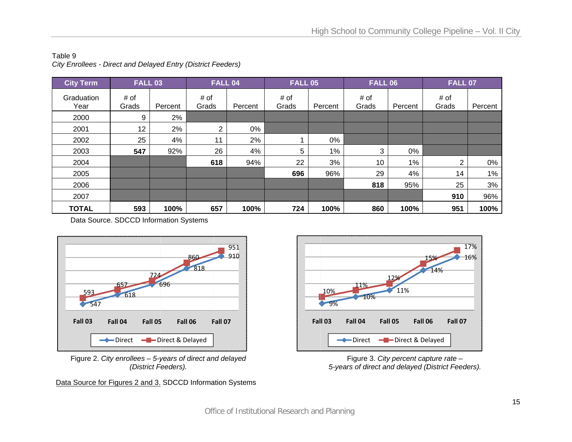#### Table 9 *C ity Enrollees - D Direct and Delaye d Entry (District F Feeders)*

| <b>City Term</b>   | <b>FALL 03</b> |         | <b>FALL 04</b> |         | <b>FALL 05</b> |         | <b>FALL 06</b> |         | <b>FALL 07</b> |         |
|--------------------|----------------|---------|----------------|---------|----------------|---------|----------------|---------|----------------|---------|
| Graduation<br>Year | # of<br>Grads  | Percent | # of<br>Grads  | Percent | # of<br>Grads  | Percent | # of<br>Grads  | Percent | # of<br>Grads  | Percent |
| 2000               | 9              | 2%      |                |         |                |         |                |         |                |         |
| 2001               | 12             | 2%      | 2              | 0%      |                |         |                |         |                |         |
| 2002               | 25             | 4%      | 11             | 2%      |                | 0%      |                |         |                |         |
| 2003               | 547            | 92%     | 26             | 4%      | 5              | 1%      | 3              | 0%      |                |         |
| 2004               |                |         | 618            | 94%     | 22             | 3%      | 10             | 1%      | 2              | 0%      |
| 2005               |                |         |                |         | 696            | 96%     | 29             | 4%      | 14             | $1\%$   |
| 2006               |                |         |                |         |                |         | 818            | 95%     | 25             | 3%      |
| 2007               |                |         |                |         |                |         |                |         | 910            | 96%     |
| <b>TOTAL</b>       | 593            | 100%    | 657            | 100%    | 724            | 100%    | 860            | 100%    | 951            | 100%    |

Data Source. SDCCD Information Systems



Figure 2. *City enrollees – 5-years of direct and delayed (District F Feeders).* 

Data Source for Figures 2 and 3. SDCCD Information Systems



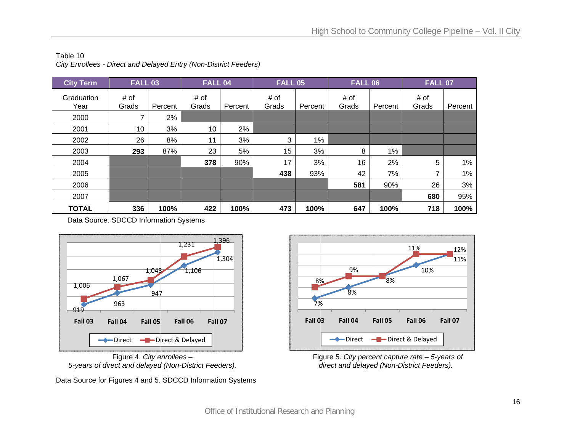| <b>City Term</b>   | <b>FALL 03</b> |         | <b>FALL 04</b> |         | <b>FALL 05</b> |         | <b>FALL 06</b> |         | <b>FALL 07</b> |         |
|--------------------|----------------|---------|----------------|---------|----------------|---------|----------------|---------|----------------|---------|
| Graduation<br>Year | # of<br>Grads  | Percent | # of<br>Grads  | Percent | # of<br>Grads  | Percent | # of<br>Grads  | Percent | # of<br>Grads  | Percent |
| 2000               |                | 2%      |                |         |                |         |                |         |                |         |
| 2001               | 10             | 3%      | 10             | 2%      |                |         |                |         |                |         |
| 2002               | 26             | 8%      | 11             | 3%      | 3              | 1%      |                |         |                |         |
| 2003               | 293            | 87%     | 23             | 5%      | 15             | 3%      | 8              | 1%      |                |         |
| 2004               |                |         | 378            | 90%     | 17             | 3%      | 16             | 2%      | 5              | $1\%$   |
| 2005               |                |         |                |         | 438            | 93%     | 42             | 7%      | 7              | $1\%$   |
| 2006               |                |         |                |         |                |         | 581            | 90%     | 26             | 3%      |
| 2007               |                |         |                |         |                |         |                |         | 680            | 95%     |
| <b>TOTAL</b>       | 336            | 100%    | 422            | 100%    | 473            | 100%    | 647            | 100%    | 718            | 100%    |

Table 10 City Enrollees - Direct and Delayed Entry (Non-District Feeders)

Data Source. SDCCD Information Systems



*5-years of di direct and delayed d (Non-District Fe eeders).*  Figure 4. *City e enrollees –* 

Data Source for Figures 4 and 5. SDCCD Information Systems



 Fig gure 5. *City perce ent capture rate – – 5-years of d direct and delaye d (Non-District Fe eeders).*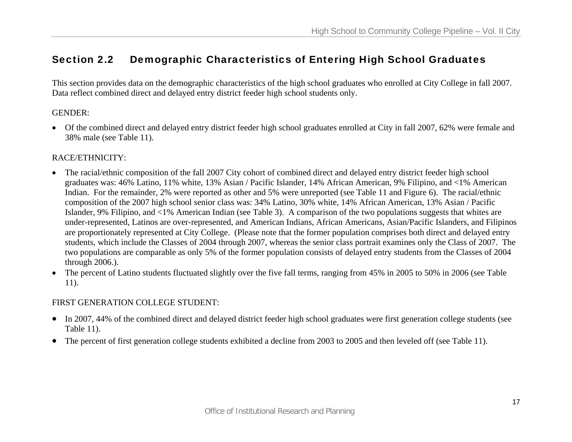## Section 2.2 Demographic Characteristics of Entering High School Graduates

This section provides data on the demographic characteristics of the high school graduates who enrolled at City College in fall 2007. Data reflect combined direct and delayed entry district feeder high school students only.

## GENDER:

• Of the combined direct and delayed entry district feeder high school graduates enrolled at City in fall 2007, 62% were female and 38% male (see Table 11).

## RACE/ETHNICITY:

- The racial/ethnic composition of the fall 2007 City cohort of combined direct and delayed entry district feeder high school graduates was: 46% Latino, 11% white, 13% Asian / Pacific Islander, 14% African American, 9% Filipino, and <1% American Indian. For the remainder, 2% were reported as other and 5% were unreported (see Table 11 and Figure 6). The racial/ethnic composition of the 2007 high school senior class was: 34% Latino, 30% white, 14% African American, 13% Asian / Pacific Islander, 9% Filipino, and <1% American Indian (see Table 3). A comparison of the two populations suggests that whites are under-represented, Latinos are over-represented, and American Indians, African Americans, Asian/Pacific Islanders, and Filipinos are proportionately represented at City College. (Please note that the former population comprises both direct and delayed entry students, which include the Classes of 2004 through 2007, whereas the senior class portrait examines only the Class of 2007. The two populations are comparable as only 5% of the former population consists of delayed entry students from the Classes of 2004 through 2006.).
- The percent of Latino students fluctuated slightly over the five fall terms, ranging from 45% in 2005 to 50% in 2006 (see Table 11).

## FIRST GENERATION COLLEGE STUDENT:

- In 2007, 44% of the combined direct and delayed district feeder high school graduates were first generation college students (see Table 11).
- The percent of first generation college students exhibited a decline from 2003 to 2005 and then leveled off (see Table 11).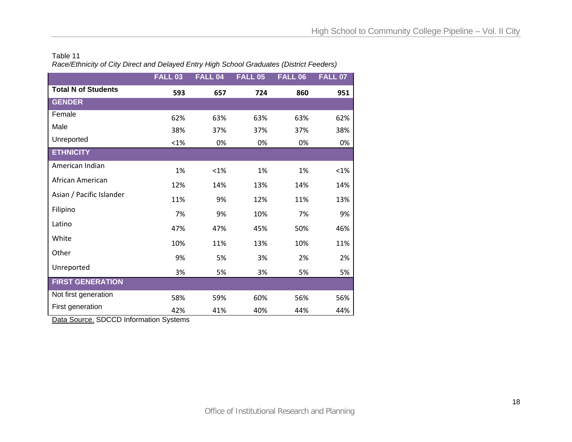#### Table 11 *Race/Ethnicity of City Direct and Delayed Entry High School Graduates (District Feeders)*

|                            | <b>FALL 03</b> | <b>FALL 04</b> | <b>FALL 05</b> | <b>FALL 06</b> | <b>FALL 07</b> |
|----------------------------|----------------|----------------|----------------|----------------|----------------|
| <b>Total N of Students</b> | 593            | 657            | 724            | 860            | 951            |
| <b>GENDER</b>              |                |                |                |                |                |
| Female                     | 62%            | 63%            | 63%            | 63%            | 62%            |
| Male                       | 38%            | 37%            | 37%            | 37%            | 38%            |
| Unreported                 | $< 1\%$        | 0%             | 0%             | 0%             | 0%             |
| <b>ETHNICITY</b>           |                |                |                |                |                |
| American Indian            | 1%             | $< 1\%$        | 1%             | 1%             | < 1%           |
| African American           | 12%            | 14%            | 13%            | 14%            | 14%            |
| Asian / Pacific Islander   | 11%            | 9%             | 12%            | 11%            | 13%            |
| Filipino                   | 7%             | 9%             | 10%            | 7%             | 9%             |
| Latino                     | 47%            | 47%            | 45%            | 50%            | 46%            |
| White                      | 10%            | 11%            | 13%            | 10%            | 11%            |
| Other                      | 9%             | 5%             | 3%             | 2%             | 2%             |
| Unreported                 | 3%             | 5%             | 3%             | 5%             | 5%             |
| <b>FIRST GENERATION</b>    |                |                |                |                |                |
| Not first generation       | 58%            | 59%            | 60%            | 56%            | 56%            |
| First generation           | 42%            | 41%            | 40%            | 44%            | 44%            |

Data Source. SDCCD Information Systems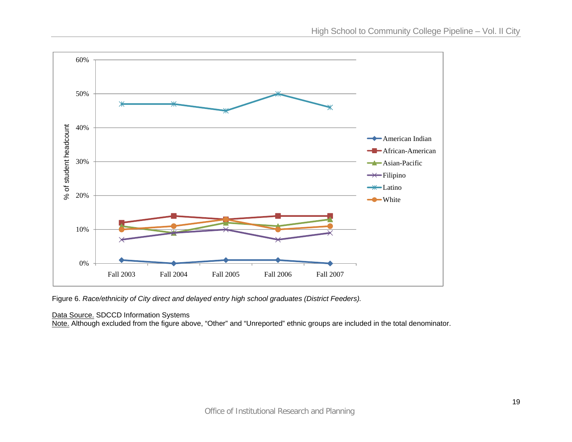

Figure 6. *Race/ethnicity of City direct and delayed entry high school graduates (District Feeders).*

## Data Source. SDCCD Information Systems

<u>Note.</u> Although excluded from the figure above, "Other" and "Unreported" ethnic groups are included in the total denominator.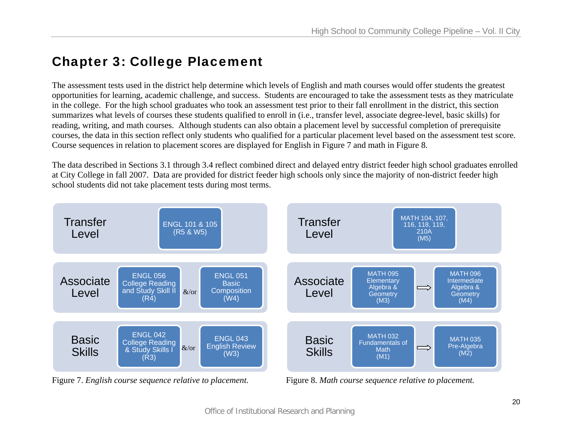# Chapter 3: College Placement

The assessment tests used in the district help determine which levels of English and math courses would offer students the greatest opportunities for learning, academic challenge, and success. Students are encouraged to take the assessment tests as they matriculate in the college. For the high school graduates who took an assessment test prior to their fall enrollment in the district, this section summarizes what levels of courses these students qualified to enroll in (i.e., transfer level, associate degree-level, basic skills) for reading, writing, and math courses. Although students can also obtain a placement level by successful completion of prerequisite courses, the data in this section reflect only students who qualified for a particular placement level based on the assessment test score*.* Course sequences in relation to placement scores are displayed for English in Figure 7 and math in Figure 8.

The data described in Sections 3.1 through 3.4 reflect combined direct and delayed entry district feeder high school graduates enrolled at City College in fall 2007. Data are provided for district feeder high schools only since the majority of non-district feeder high school students did not take placement tests during most terms.



Figure 7. *English course sequence relative to placement.* Figure 8. *Math course sequence relative to placement.*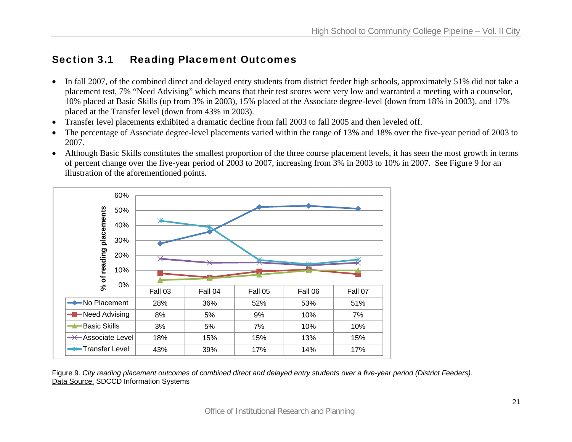## Section 3.1 Reading Placement Outcomes

- In fall 2007, of the combined direct and delayed entry students from district feeder high schools, approximately 51% did not take a placement test, 7% "Need Advising" which means that their test scores were very low and warranted a meeting with a counselor, 10% placed at Basic Skills (up from 3% in 2003), 15% placed at the Associate degree-level (down from 18% in 2003), and 17% placed at the Transfer level (down from 43% in 2003).
- Transfer level placements exhibited a dramatic decline from fall 2003 to fall 2005 and then leveled off.
- • The percentage of Associate degree-level placements varied within the range of 13% and 18% over the five-year period of 2003 to 2007.
- Although Basic Skills constitutes the smallest proportion of the three course placement levels, it has seen the most growth in terms of percent change over the five-year period of 2003 to 2007, increasing from 3% in 2003 to 10% in 2007. See Figure 9 for an illustration of the aforementioned points.



Figure 9. *City reading placement outcomes of combined direct and delayed entry students over a five-year period (District Feeders).*  Data Source. SDCCD Information Systems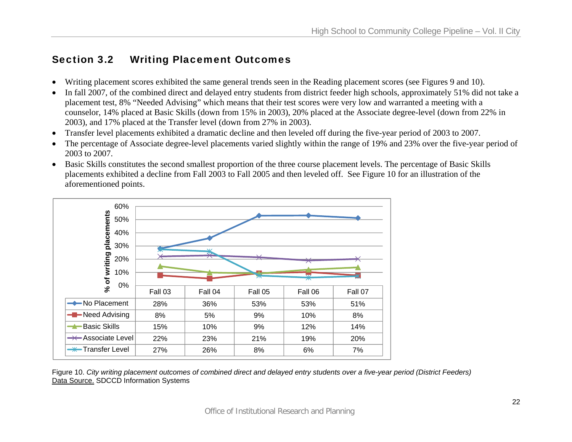## Section 3.2 Writing Placement Outcomes

- •Writing placement scores exhibited the same general trends seen in the Reading placement scores (see Figures 9 and 10).
- • In fall 2007, of the combined direct and delayed entry students from district feeder high schools, approximately 51% did not take a placement test, 8% "Needed Advising" which means that their test scores were very low and warranted a meeting with a counselor, 14% placed at Basic Skills (down from 15% in 2003), 20% placed at the Associate degree-level (down from 22% in 2003), and 17% placed at the Transfer level (down from 27% in 2003).
- $\bullet$ Transfer level placements exhibited a dramatic decline and then leveled off during the five-year period of 2003 to 2007.
- • The percentage of Associate degree-level placements varied slightly within the range of 19% and 23% over the five-year period of 2003 to 2007.
- Basic Skills constitutes the second smallest proportion of the three course placement levels. The percentage of Basic Skills placements exhibited a decline from Fall 2003 to Fall 2005 and then leveled off. See Figure 10 for an illustration of the aforementioned points.



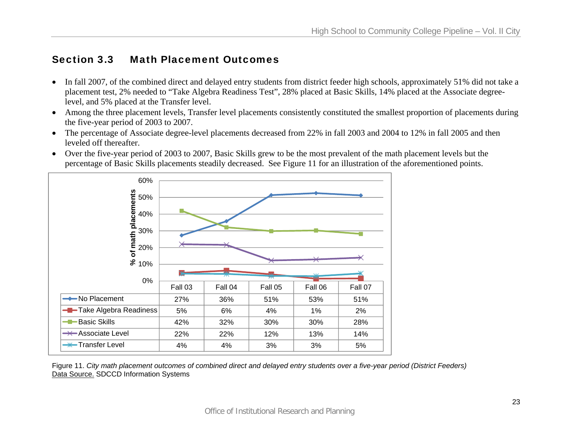## Section 3.3 Math Placement Outcomes

- In fall 2007, of the combined direct and delayed entry students from district feeder high schools, approximately 51% did not take a placement test, 2% needed to "Take Algebra Readiness Test", 28% placed at Basic Skills, 14% placed at the Associate degreelevel, and 5% placed at the Transfer level.
- Among the three placement levels, Transfer level placements consistently constituted the smallest proportion of placements during the five-year period of 2003 to 2007.
- The percentage of Associate degree-level placements decreased from 22% in fall 2003 and 2004 to 12% in fall 2005 and then leveled off thereafter.
- Over the five-year period of 2003 to 2007, Basic Skills grew to be the most prevalent of the math placement levels but the percentage of Basic Skills placements steadily decreased. See Figure 11 for an illustration of the aforementioned points.



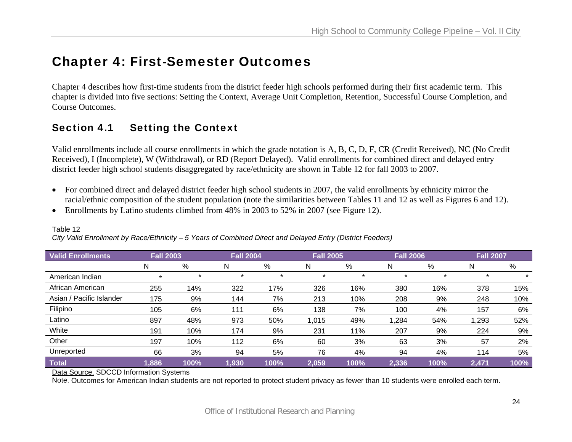# Chapter 4: First-Semester Outcomes

Chapter 4 describes how first-time students from the district feeder high schools performed during their first academic term. This chapter is divided into five sections: Setting the Context, Average Unit Completion, Retention, Successful Course Completion, and Course Outcomes.

## Section 4.1 Setting the Context

Valid enrollments include all course enrollments in which the grade notation is A, B, C, D, F, CR (Credit Received), NC (No Credit Received), I (Incomplete), W (Withdrawal), or RD (Report Delayed). Valid enrollments for combined direct and delayed entry district feeder high school students disaggregated by race/ethnicity are shown in Table 12 for fall 2003 to 2007.

- For combined direct and delayed district feeder high school students in 2007, the valid enrollments by ethnicity mirror the racial/ethnic composition of the student population (note the similarities between Tables 11 and 12 as well as Figures 6 and 12).
- Enrollments by Latino students climbed from 48% in 2003 to 52% in 2007 (see Figure 12).

| <b>Valid Enrollments</b> | <b>Fall 2003</b> |         | <b>Fall 2004</b> |         | <b>Fall 2005</b> |         | <b>Fall 2006</b> |         | <b>Fall 2007</b> |      |
|--------------------------|------------------|---------|------------------|---------|------------------|---------|------------------|---------|------------------|------|
|                          | N                | %       | N                | %       | N                | %       | N                | %       | N                | %    |
| American Indian          |                  | $\star$ | $\star$          | $\star$ | $\star$          | $\star$ | ÷                | $\star$ | $\star$          |      |
| African American         | 255              | 14%     | 322              | 17%     | 326              | 16%     | 380              | 16%     | 378              | 15%  |
| Asian / Pacific Islander | 175              | 9%      | 144              | 7%      | 213              | 10%     | 208              | 9%      | 248              | 10%  |
| Filipino                 | 105              | 6%      | 111              | 6%      | 138              | 7%      | 100              | 4%      | 157              | 6%   |
| Latino                   | 897              | 48%     | 973              | 50%     | 1,015            | 49%     | 1,284            | 54%     | 1,293            | 52%  |
| White                    | 191              | 10%     | 174              | 9%      | 231              | 11%     | 207              | 9%      | 224              | 9%   |
| Other                    | 197              | 10%     | 112              | 6%      | 60               | 3%      | 63               | 3%      | 57               | 2%   |
| Unreported               | 66               | 3%      | 94               | 5%      | 76               | 4%      | 94               | 4%      | 114              | 5%   |
| <b>Total</b>             | 1,886            | 100%    | 1,930            | 100%    | 2,059            | 100%    | 2,336            | 100%    | 2,471            | 100% |

## Table 12

*City Valid Enrollment by Race/Ethnicity – 5 Years of Combined Direct and Delayed Entry (District Feeders)* 

Data Source. SDCCD Information Systems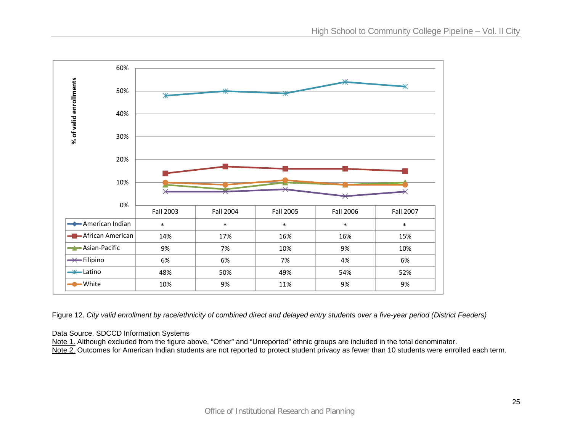

Figure 12. *City valid enrollment by race/ethnicity of combined direct and delayed entry students over a five-year period (District Feeders)*

#### Data Source. SDCCD Information Systems

Note 1. Although excluded from the figure above, "Other" and "Unreported" ethnic groups are included in the total denominator.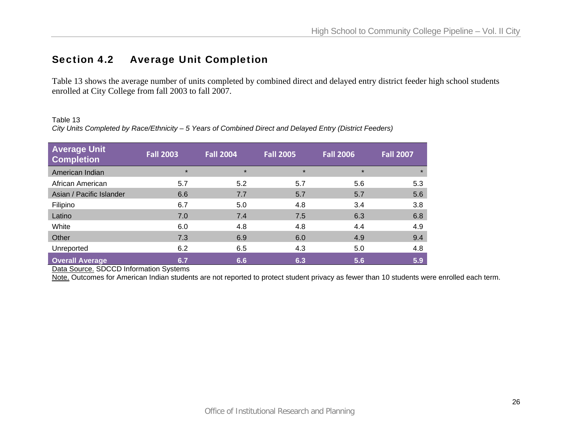## Section 4.2 Average Unit Completion

Table 13 shows the average number of units completed by combined direct and delayed entry district feeder high school students enrolled at City College from fall 2003 to fall 2007.

#### Table 13

*City Units Completed by Race/Ethnicity – 5 Years of Combined Direct and Delayed Entry (District Feeders)* 

| <b>Average Unit</b><br><b>Completion</b> | <b>Fall 2003</b> | <b>Fall 2004</b> | <b>Fall 2005</b> | <b>Fall 2006</b> | <b>Fall 2007</b> |
|------------------------------------------|------------------|------------------|------------------|------------------|------------------|
| American Indian                          | $\star$          | $\star$          | $\star$          | $\star$          | $\star$          |
| African American                         | 5.7              | 5.2              | 5.7              | 5.6              | 5.3              |
| Asian / Pacific Islander                 | 6.6              | 7.7              | 5.7              | 5.7              | 5.6              |
| Filipino                                 | 6.7              | 5.0              | 4.8              | 3.4              | 3.8              |
| Latino                                   | 7.0              | 7.4              | 7.5              | 6.3              | 6.8              |
| White                                    | 6.0              | 4.8              | 4.8              | 4.4              | 4.9              |
| Other                                    | 7.3              | 6.9              | 6.0              | 4.9              | 9.4              |
| Unreported                               | 6.2              | 6.5              | 4.3              | 5.0              | 4.8              |
| <b>Overall Average</b>                   | 6.7              | 6.6              | 6.3              | 5.6              | 5.9              |

Data Source. SDCCD Information Systems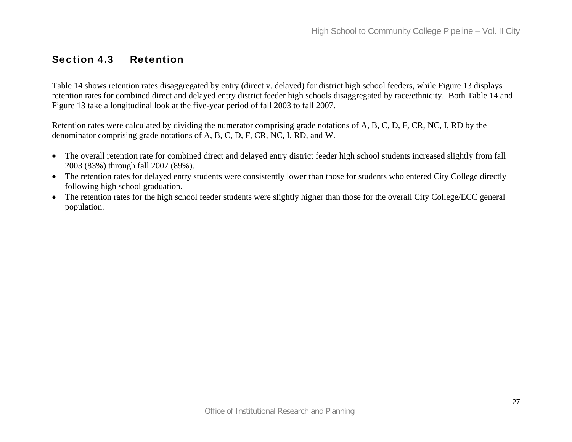## Section 4.3 Retention

Table 14 shows retention rates disaggregated by entry (direct v. delayed) for district high school feeders, while Figure 13 displays retention rates for combined direct and delayed entry district feeder high schools disaggregated by race/ethnicity. Both Table 14 and Figure 13 take a longitudinal look at the five-year period of fall 2003 to fall 2007.

Retention rates were calculated by dividing the numerator comprising grade notations of A, B, C, D, F, CR, NC, I, RD by the denominator comprising grade notations of A, B, C, D, F, CR, NC, I, RD, and W.

- The overall retention rate for combined direct and delayed entry district feeder high school students increased slightly from fall 2003 (83%) through fall 2007 (89%).
- The retention rates for delayed entry students were consistently lower than those for students who entered City College directly following high school graduation.
- The retention rates for the high school feeder students were slightly higher than those for the overall City College/ECC general population.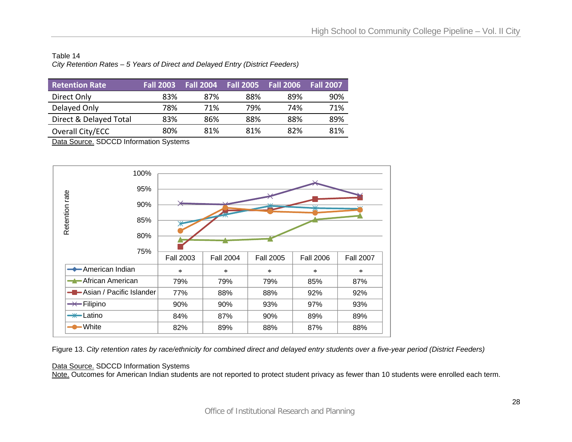#### Table 14 *City Retention Rates – 5 Years of Direct and Delayed Entry (District Feeders)*

| <b>Retention Rate</b>  | <b>Fall 2003</b> | <b>Fall 2004</b> | <b>Fall 2005</b> | <b>Fall 2006</b> | <b>Fall 2007</b> |
|------------------------|------------------|------------------|------------------|------------------|------------------|
| Direct Only            | 83%              | 87%              | 88%              | 89%              | 90%              |
| Delayed Only           | 78%              | 71%              | 79%              | 74%              | 71%              |
| Direct & Delayed Total | 83%              | 86%              | 88%              | 88%              | 89%              |
| Overall City/ECC       | 80%              | 81%              | 81%              | 82%              | 81%              |

Data Source. SDCCD Information Systems



Figure 13. *City retention rates by race/ethnicity for combined direct and delayed entry students over a five-year period (District Feeders)* 

#### Data Source. SDCCD Information Systems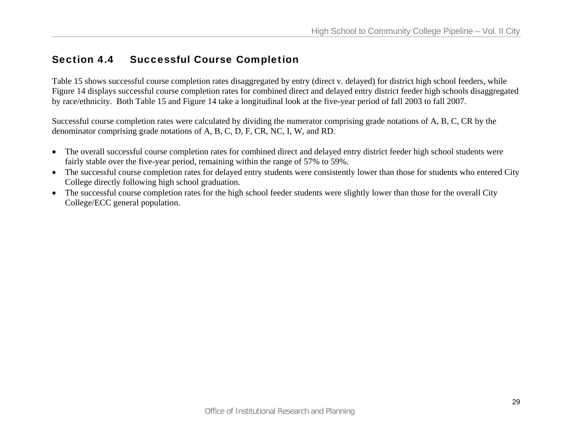## Section 4.4 Successful Course Completion

Table 15 shows successful course completion rates disaggregated by entry (direct v. delayed) for district high school feeders, while Figure 14 displays successful course completion rates for combined direct and delayed entry district feeder high schools disaggregated by race/ethnicity. Both Table 15 and Figure 14 take a longitudinal look at the five-year period of fall 2003 to fall 2007.

Successful course completion rates were calculated by dividing the numerator comprising grade notations of A, B, C, CR by the denominator comprising grade notations of A, B, C, D, F, CR, NC, I, W, and RD.

- The overall successful course completion rates for combined direct and delayed entry district feeder high school students were fairly stable over the five-year period, remaining within the range of 57% to 59%.
- The successful course completion rates for delayed entry students were consistently lower than those for students who entered City College directly following high school graduation.
- The successful course completion rates for the high school feeder students were slightly lower than those for the overall City College/ECC general population.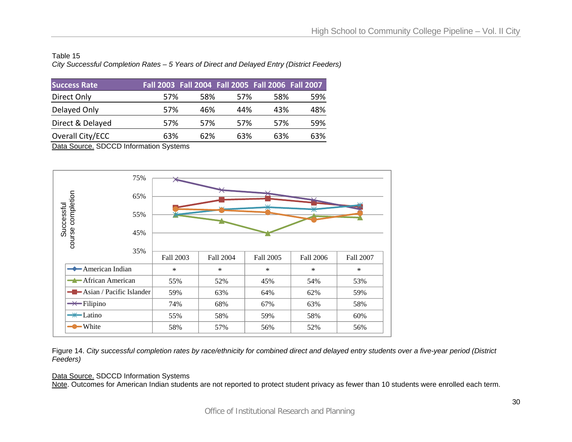#### Table 15 *City Successful Completion Rates – 5 Years of Direct and Delayed Entry (District Feeders)*

| <b>Success Rate</b> | Fall 2003 Fall 2004 Fall 2005 Fall 2006 Fall 2007 |      |      |      |     |
|---------------------|---------------------------------------------------|------|------|------|-----|
| Direct Only         | .57%                                              | 58%  | .57% | .58% | 59% |
| Delayed Only        | 57%                                               | 46%  | 44%  | 43%  | 48% |
| Direct & Delayed    | 57%                                               | .57% | 57%  | .57% | 59% |
| Overall City/ECC    | 63%                                               | 62%  | 63%  | 63%  | 63% |

Data Source. SDCCD Information Systems



Figure 14. *City successful completion rates by race/ethnicity for combined direct and delayed entry students over a five-year period (District Feeders)* 

#### Data Source. SDCCD Information Systems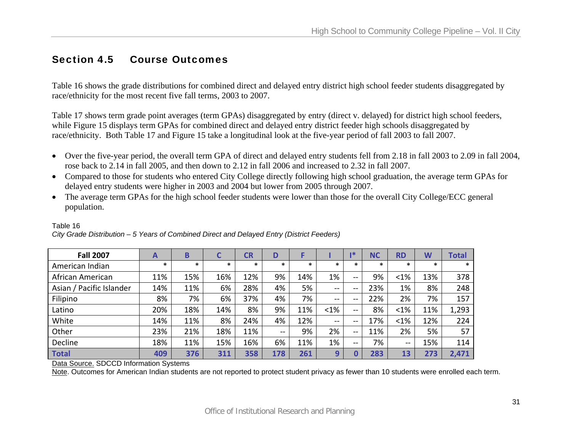## Section 4.5 Course Outcomes

Table 16 shows the grade distributions for combined direct and delayed entry district high school feeder students disaggregated by race/ethnicity for the most recent five fall terms, 2003 to 2007.

Table 17 shows term grade point averages (term GPAs) disaggregated by entry (direct v. delayed) for district high school feeders, while Figure 15 displays term GPAs for combined direct and delayed entry district feeder high schools disaggregated by race/ethnicity. Both Table 17 and Figure 15 take a longitudinal look at the five-year period of fall 2003 to fall 2007.

- Over the five-year period, the overall term GPA of direct and delayed entry students fell from 2.18 in fall 2003 to 2.09 in fall 2004, rose back to 2.14 in fall 2005, and then down to 2.12 in fall 2006 and increased to 2.32 in fall 2007.
- Compared to those for students who entered City College directly following high school graduation, the average term GPAs for delayed entry students were higher in 2003 and 2004 but lower from 2005 through 2007.
- The average term GPAs for the high school feeder students were lower than those for the overall City College/ECC general population.

| <b>Fall 2007</b>         | A      | B      |        | CR     | D             |        |        | l *    | <b>NC</b> | <b>RD</b>  | W      | Total  |
|--------------------------|--------|--------|--------|--------|---------------|--------|--------|--------|-----------|------------|--------|--------|
| American Indian          | $\ast$ | $\ast$ | $\ast$ | $\ast$ | $\ast$        | $\ast$ | $\ast$ | $\ast$ | $\ast$    | $\ast$     | $\ast$ | $\ast$ |
| African American         | 11%    | 15%    | 16%    | 12%    | 9%            | 14%    | 1%     | $- -$  | 9%        | $< 1\%$    | 13%    | 378    |
| Asian / Pacific Islander | 14%    | 11%    | 6%     | 28%    | 4%            | 5%     | $- -$  | $- -$  | 23%       | 1%         | 8%     | 248    |
| Filipino                 | 8%     | 7%     | 6%     | 37%    | 4%            | 7%     | --     | $- -$  | 22%       | 2%         | 7%     | 157    |
| Latino                   | 20%    | 18%    | 14%    | 8%     | 9%            | 11%    | <1%    | $-$    | 8%        | $< 1\%$    | 11%    | 1,293  |
| White                    | 14%    | 11%    | 8%     | 24%    | 4%            | 12%    | $-$    | $- -$  | 17%       | $< 1\%$    | 12%    | 224    |
| Other                    | 23%    | 21%    | 18%    | 11%    | $\sim$ $\sim$ | 9%     | 2%     | $-$    | 11%       | 2%         | 5%     | 57     |
| Decline                  | 18%    | 11%    | 15%    | 16%    | 6%            | 11%    | 1%     | $- -$  | 7%        | $\sim$ $-$ | 15%    | 114    |
| <b>Total</b>             | 409    | 376    | 311    | 358    | 178           | 261    | 9      |        | 283       | 13         | 273    | 2,471  |

#### *City Grade Distribution – 5 Years of Combined Direct and Delayed Entry (District Feeders)*

Data Source. SDCCD Information Systems

Table 16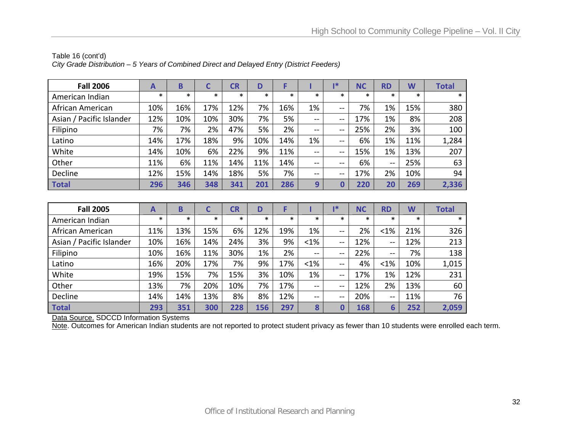| <b>Fall 2006</b>         | A   | B      |        | CR     | D      |        |                              | 1*     | <b>NC</b> | <b>RD</b>     | W      | <b>Total</b> |
|--------------------------|-----|--------|--------|--------|--------|--------|------------------------------|--------|-----------|---------------|--------|--------------|
| American Indian          | *   | $\ast$ | $\ast$ | $\ast$ | $\ast$ | $\ast$ | $\ast$                       | $\ast$ | $\ast$    | $\ast$        | $\ast$ | $\ast$       |
| African American         | 10% | 16%    | 17%    | 12%    | 7%     | 16%    | 1%                           | --     | 7%        | 1%            | 15%    | 380          |
| Asian / Pacific Islander | 12% | 10%    | 10%    | 30%    | 7%     | 5%     | $\sim$                       | --     | 17%       | 1%            | 8%     | 208          |
| Filipino                 | 7%  | 7%     | 2%     | 47%    | 5%     | 2%     | $- -$                        | --     | 25%       | 2%            | 3%     | 100          |
| Latino                   | 14% | 17%    | 18%    | 9%     | 10%    | 14%    | 1%                           | --     | 6%        | 1%            | 11%    | 1,284        |
| White                    | 14% | 10%    | 6%     | 22%    | 9%     | 11%    | $\sim$ $\sim$                | --     | 15%       | 1%            | 13%    | 207          |
| Other                    | 11% | 6%     | 11%    | 14%    | 11%    | 14%    | $\qquad \qquad \blacksquare$ | --     | 6%        | $\sim$ $\sim$ | 25%    | 63           |
| Decline                  | 12% | 15%    | 14%    | 18%    | 5%     | 7%     | $\sim$                       | --     | 17%       | 2%            | 10%    | 94           |
| Total                    | 296 | 346    | 348    | 341    | 201    | 286    | 9                            | 0      | 220       | 20            | 269    | 2,336        |

## Table 16 (cont'd) *City Grade Distribution – 5 Years of Combined Direct and Delayed Entry (District Feeders)*

| <b>Fall 2005</b>         | $\mathbf{A}$ | B      |        | <b>CR</b> | D      | F      |               | 1*            | <b>NC</b> | <b>RD</b>     | W      | <b>Total</b> |
|--------------------------|--------------|--------|--------|-----------|--------|--------|---------------|---------------|-----------|---------------|--------|--------------|
| American Indian          | *            | $\ast$ | $\ast$ | $\ast$    | $\ast$ | $\ast$ | $\ast$        | $\ast$        | $\ast$    | $\ast$        | $\ast$ | $\ast$       |
| African American         | 11%          | 13%    | 15%    | 6%        | 12%    | 19%    | 1%            | $\sim$ $\sim$ | 2%        | $< 1\%$       | 21%    | 326          |
| Asian / Pacific Islander | 10%          | 16%    | 14%    | 24%       | 3%     | 9%     | $< 1\%$       | $-$           | 12%       | $\sim$ $\sim$ | 12%    | 213          |
| Filipino                 | 10%          | 16%    | 11%    | 30%       | 1%     | 2%     | $\sim$ $\sim$ | $-$           | 22%       | $-1$          | 7%     | 138          |
| Latino                   | 16%          | 20%    | 17%    | 7%        | 9%     | 17%    | $< 1\%$       | $\sim$        | 4%        | $< 1\%$       | 10%    | 1,015        |
| White                    | 19%          | 15%    | 7%     | 15%       | 3%     | 10%    | 1%            | $-$           | 17%       | 1%            | 12%    | 231          |
| Other                    | 13%          | 7%     | 20%    | 10%       | 7%     | 17%    | $\sim$ $-$    | $\sim$        | 12%       | 2%            | 13%    | 60           |
| Decline                  | 14%          | 14%    | 13%    | 8%        | 8%     | 12%    | $\sim$ $-$    | $\sim$ $\sim$ | 20%       | $\sim$ $-$    | 11%    | 76           |
| Total                    | 293          | 351    | 300    | 228       | 156    | 297    | 8             |               | 168       | 6             | 252    | 2,059        |

Data Source. SDCCD Information Systems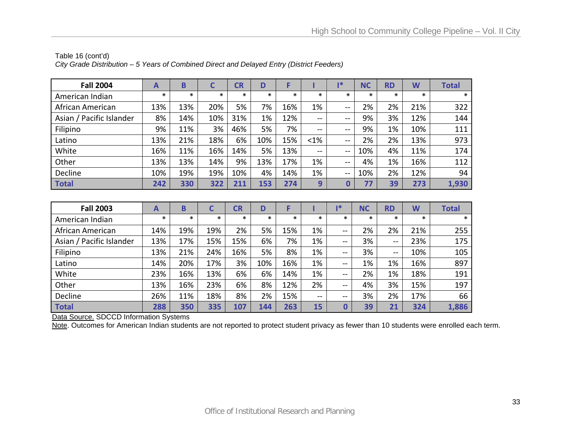| <b>Fall 2004</b>         | A      | B      |        | CR     | D      |        |         | ∎*                       | <b>NC</b> | <b>RD</b> | W      | <b>Total</b> |
|--------------------------|--------|--------|--------|--------|--------|--------|---------|--------------------------|-----------|-----------|--------|--------------|
| American Indian          | $\ast$ | $\ast$ | $\ast$ | $\ast$ | $\ast$ | $\ast$ | $\ast$  | $\ast$                   | $\ast$    | $\ast$    | $\ast$ | $\ast$       |
| African American         | 13%    | 13%    | 20%    | 5%     | 7%     | 16%    | 1%      | --                       | 2%        | 2%        | 21%    | 322          |
| Asian / Pacific Islander | 8%     | 14%    | 10%    | 31%    | 1%     | 12%    | --      | --                       | 9%        | 3%        | 12%    | 144          |
| Filipino                 | 9%     | 11%    | 3%     | 46%    | 5%     | 7%     | $- -$   | $- -$                    | 9%        | 1%        | 10%    | 111          |
| Latino                   | 13%    | 21%    | 18%    | 6%     | 10%    | 15%    | $< 1\%$ | $- -$                    | 2%        | 2%        | 13%    | 973          |
| White                    | 16%    | 11%    | 16%    | 14%    | 5%     | 13%    | $- -$   | $\sim$                   | 10%       | 4%        | 11%    | 174          |
| Other                    | 13%    | 13%    | 14%    | 9%     | 13%    | 17%    | 1%      | $\overline{\phantom{m}}$ | 4%        | 1%        | 16%    | 112          |
| Decline                  | 10%    | 19%    | 19%    | 10%    | 4%     | 14%    | 1%      | $\sim$                   | 10%       | 2%        | 12%    | 94           |
| <b>Total</b>             | 242    | 330    | 322    | 211    | 153    | 274    | 9       | 0                        | 77        | 39        | 273    | 1,930        |

#### Table 16 (cont'd) *City Grade Distribution – 5 Years of Combined Direct and Delayed Entry (District Feeders)*

| <b>Fall 2003</b>         | A      | B      | C      | <b>CR</b> | D      |        |               | ı*                       | <b>NC</b> | <b>RD</b>              | W      | <b>Total</b> |
|--------------------------|--------|--------|--------|-----------|--------|--------|---------------|--------------------------|-----------|------------------------|--------|--------------|
| American Indian          | $\ast$ | $\ast$ | $\ast$ | $\ast$    | $\ast$ | $\ast$ | $\ast$        | $\ast$                   | $\ast$    | $\ast$                 | $\ast$ | $\ast$       |
| African American         | 14%    | 19%    | 19%    | 2%        | 5%     | 15%    | 1%            | $\longrightarrow$        | 2%        | 2%                     | 21%    | 255          |
| Asian / Pacific Islander | 13%    | 17%    | 15%    | 15%       | 6%     | 7%     | 1%            | --                       | 3%        | $\qquad \qquad \cdots$ | 23%    | 175          |
| Filipino                 | 13%    | 21%    | 24%    | 16%       | 5%     | 8%     | 1%            | --                       | 3%        | $-$                    | 10%    | 105          |
| Latino                   | 14%    | 20%    | 17%    | 3%        | 10%    | 16%    | 1%            | $-$                      | 1%        | 1%                     | 16%    | 897          |
| White                    | 23%    | 16%    | 13%    | 6%        | 6%     | 14%    | 1%            | $\sim$                   | 2%        | 1%                     | 18%    | 191          |
| Other                    | 13%    | 16%    | 23%    | 6%        | 8%     | 12%    | 2%            | $\sim$ $\sim$            | 4%        | 3%                     | 15%    | 197          |
| Decline                  | 26%    | 11%    | 18%    | 8%        | 2%     | 15%    | $\sim$ $\sim$ | $\overline{\phantom{m}}$ | 3%        | 2%                     | 17%    | 66           |
| <b>Total</b>             | 288    | 350    | 335    | 107       | 144    | 263    | 15            | 0                        | 39        | 21                     | 324    | 1,886        |

Data Source. SDCCD Information Systems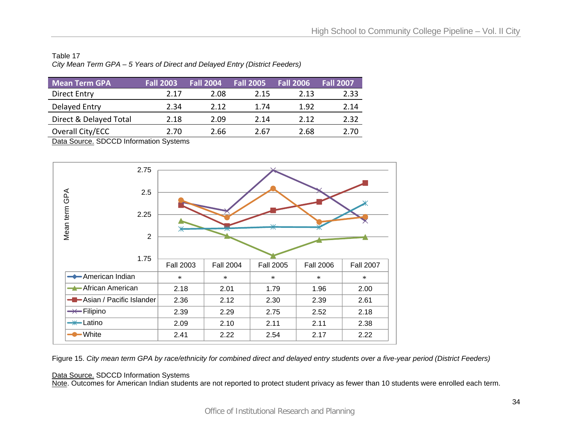## Table 17 *City Mean Term GPA – 5 Years of Direct and Delayed Entry (District Feeders)*

| <b>Mean Term GPA</b>   | <b>Fall 2003</b> | <b>Fall 2004</b> | <b>Fall 2005</b> | Fall 2006 | <b>Fall 2007</b> |
|------------------------|------------------|------------------|------------------|-----------|------------------|
| Direct Entry           | 2.17             | 2.08             | 2.15             | 2.13      | 2.33             |
| Delayed Entry          | 2.34             | 2.12             | 1.74             | 1.92      | 2.14             |
| Direct & Delayed Total | 2.18             | 2.09             | 2.14             | 2.12      | 2.32             |
| Overall City/ECC       | 2.70             | 2.66             | 2.67             | 2.68      | 2.70             |

Data Source. SDCCD Information Systems



Figure 15. *City mean term GPA by race/ethnicity for combined direct and delayed entry students over a five-year period (District Feeders)* 

#### Data Source. SDCCD Information Systems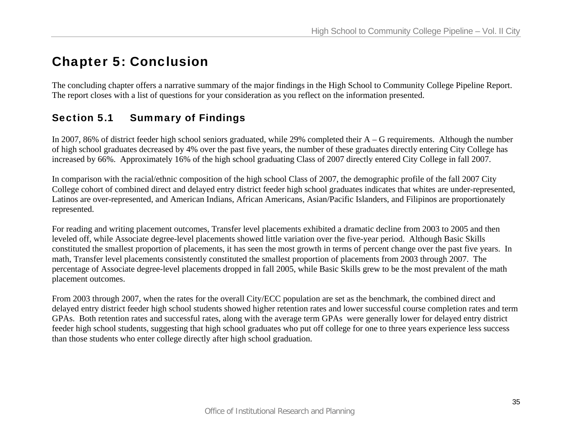# Chapter 5: Conclusion

The concluding chapter offers a narrative summary of the major findings in the High School to Community College Pipeline Report. The report closes with a list of questions for your consideration as you reflect on the information presented.

## Section 5.1 Summary of Findings

In 2007, 86% of district feeder high school seniors graduated, while 29% completed their A – G requirements. Although the number of high school graduates decreased by 4% over the past five years, the number of these graduates directly entering City College has increased by 66%. Approximately 16% of the high school graduating Class of 2007 directly entered City College in fall 2007.

In comparison with the racial/ethnic composition of the high school Class of 2007, the demographic profile of the fall 2007 City College cohort of combined direct and delayed entry district feeder high school graduates indicates that whites are under-represented, Latinos are over-represented, and American Indians, African Americans, Asian/Pacific Islanders, and Filipinos are proportionately represented.

For reading and writing placement outcomes, Transfer level placements exhibited a dramatic decline from 2003 to 2005 and then leveled off, while Associate degree-level placements showed little variation over the five-year period. Although Basic Skills constituted the smallest proportion of placements, it has seen the most growth in terms of percent change over the past five years. In math, Transfer level placements consistently constituted the smallest proportion of placements from 2003 through 2007. The percentage of Associate degree-level placements dropped in fall 2005, while Basic Skills grew to be the most prevalent of the math placement outcomes.

From 2003 through 2007, when the rates for the overall City/ECC population are set as the benchmark, the combined direct and delayed entry district feeder high school students showed higher retention rates and lower successful course completion rates and term GPAs. Both retention rates and successful rates, along with the average term GPAs were generally lower for delayed entry district feeder high school students, suggesting that high school graduates who put off college for one to three years experience less success than those students who enter college directly after high school graduation.